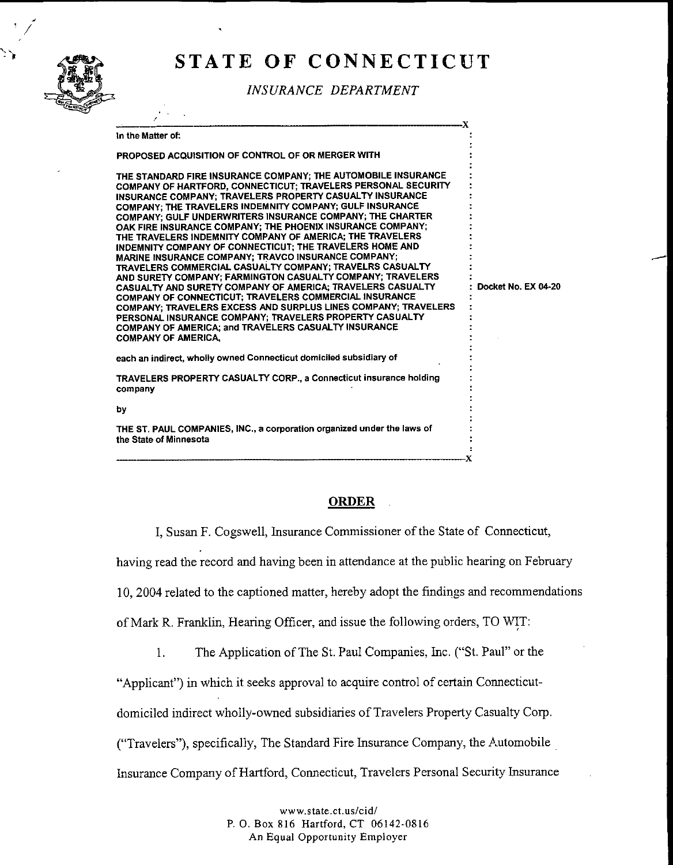

## STATE OF CONNECTICUT

**INSURANCE DEPARTMENT** 

|                                                                                                                                                                                                                                                                                                                                                                                                                                                                                                                                                                                                                                                                                                                                                                                                                                                                                                                                                                                                                                               | -X                  |
|-----------------------------------------------------------------------------------------------------------------------------------------------------------------------------------------------------------------------------------------------------------------------------------------------------------------------------------------------------------------------------------------------------------------------------------------------------------------------------------------------------------------------------------------------------------------------------------------------------------------------------------------------------------------------------------------------------------------------------------------------------------------------------------------------------------------------------------------------------------------------------------------------------------------------------------------------------------------------------------------------------------------------------------------------|---------------------|
| In the Matter of:                                                                                                                                                                                                                                                                                                                                                                                                                                                                                                                                                                                                                                                                                                                                                                                                                                                                                                                                                                                                                             |                     |
| PROPOSED ACQUISITION OF CONTROL OF OR MERGER WITH                                                                                                                                                                                                                                                                                                                                                                                                                                                                                                                                                                                                                                                                                                                                                                                                                                                                                                                                                                                             |                     |
| THE STANDARD FIRE INSURANCE COMPANY; THE AUTOMOBILE INSURANCE<br>COMPANY OF HARTFORD, CONNECTICUT; TRAVELERS PERSONAL SECURITY<br>INSURANCE COMPANY; TRAVELERS PROPERTY CASUALTY INSURANCE<br>COMPANY: THE TRAVELERS INDEMNITY COMPANY; GULF INSURANCE<br>COMPANY; GULF UNDERWRITERS INSURANCE COMPANY; THE CHARTER<br>OAK FIRE INSURANCE COMPANY; THE PHOENIX INSURANCE COMPANY;<br>THE TRAVELERS INDEMNITY COMPANY OF AMERICA; THE TRAVELERS<br>INDEMNITY COMPANY OF CONNECTICUT; THE TRAVELERS HOME AND<br>MARINE INSURANCE COMPANY; TRAVCO INSURANCE COMPANY;<br>TRAVELERS COMMERCIAL CASUALTY COMPANY; TRAVELRS CASUALTY<br>AND SURETY COMPANY; FARMINGTON CASUALTY COMPANY; TRAVELERS<br><b>CASUALTY AND SURETY COMPANY OF AMERICA: TRAVELERS CASUALTY</b><br>COMPANY OF CONNECTICUT: TRAVELERS COMMERCIAL INSURANCE<br>COMPANY; TRAVELERS EXCESS AND SURPLUS LINES COMPANY; TRAVELERS<br>PERSONAL INSURANCE COMPANY: TRAVELERS PROPERTY CASUALTY<br>COMPANY OF AMERICA; and TRAVELERS CASUALTY INSURANCE<br><b>COMPANY OF AMERICA.</b> | Docket No. EX 04-20 |
| each an indirect, wholly owned Connecticut domiciled subsidiary of                                                                                                                                                                                                                                                                                                                                                                                                                                                                                                                                                                                                                                                                                                                                                                                                                                                                                                                                                                            |                     |
| TRAVELERS PROPERTY CASUALTY CORP., a Connecticut insurance holding<br>company                                                                                                                                                                                                                                                                                                                                                                                                                                                                                                                                                                                                                                                                                                                                                                                                                                                                                                                                                                 |                     |
| by                                                                                                                                                                                                                                                                                                                                                                                                                                                                                                                                                                                                                                                                                                                                                                                                                                                                                                                                                                                                                                            |                     |
| THE ST. PAUL COMPANIES, INC., a corporation organized under the laws of<br>the State of Minnesota                                                                                                                                                                                                                                                                                                                                                                                                                                                                                                                                                                                                                                                                                                                                                                                                                                                                                                                                             |                     |
|                                                                                                                                                                                                                                                                                                                                                                                                                                                                                                                                                                                                                                                                                                                                                                                                                                                                                                                                                                                                                                               | X                   |

## **ORDER**

I, Susan F. Cogswell, Insurance Commissioner of the State of Connecticut,

having read the record and having been in attendance at the public hearing on February

10, 2004 related to the captioned matter, hereby adopt the findings and recommendations

of Mark R. Franklin, Hearing Officer, and issue the following orders, TO WIT:

The Application of The St. Paul Companies, Inc. ("St. Paul" or the  $1.$ 

"Applicant") in which it seeks approval to acquire control of certain Connecticut-

domiciled indirect wholly-owned subsidiaries of Travelers Property Casualty Corp.

("Travelers"), specifically, The Standard Fire Insurance Company, the Automobile

Insurance Company of Hartford, Connecticut, Travelers Personal Security Insurance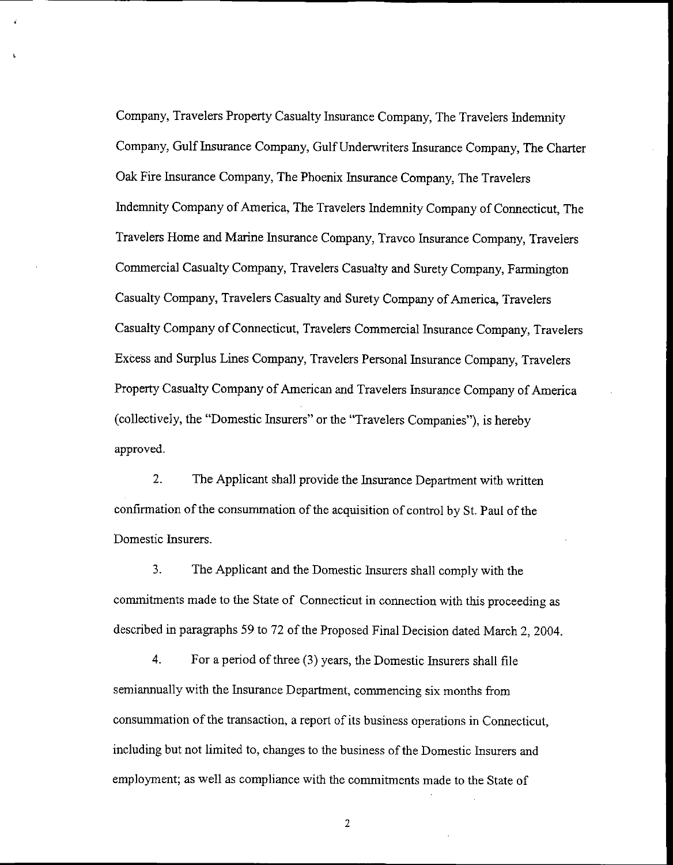Company, Travelers Property Casualty Insurance Company, The Travelers Indemnity Company, Gulf Insurance Company, Gulf Underwriters Insurance Company, The Charter Oak Fire Insurance Company, The Phoenix Insurance Company. The Travelers Indemnity Company of America, The Travelers Indemnity Company of Connecticut, The Travelers Home and Marine Insurance Company, Travco Insurance Company, Travelers Commercial Casualty Company, Travelers Casualty and Surety Company, Farmington Casualty Company, Travelers Casualty and Surety Company of America, Travelers Casualty Company of Connecticut, Travelers Commercial Insurance Company, Travelers Excess and Surplus Lines Company, Travelers Personal Insurance Company, Travelers Property Casualty Company of American and Travelers Insurance Company of America (collectively, the "Domestic Insurers" or the "Travelers Companies"), is hereby approved.

 $\mathbf{r}$ 

 $2<sup>1</sup>$ The Applicant shall provide the Insurance Department with written confirmation of the consummation of the acquisition of control by St. Paul of the Domestic Insurers.

3. The Applicant and the Domestic Insurers shall comply with the commitments made to the State of Connecticut in connection with this proceeding as described in paragraphs 59 to 72 of the Proposed Final Decision dated March 2, 2004.

4. For a period of three (3) years, the Domestic Insurers shall file semiannually with the Insurance Department, commencing six months from consummation of the transaction, a report of its business operations in Connecticut, including but not limited to, changes to the business of the Domestic Insurers and employment; as well as compliance with the commitments made to the State of

 $\overline{2}$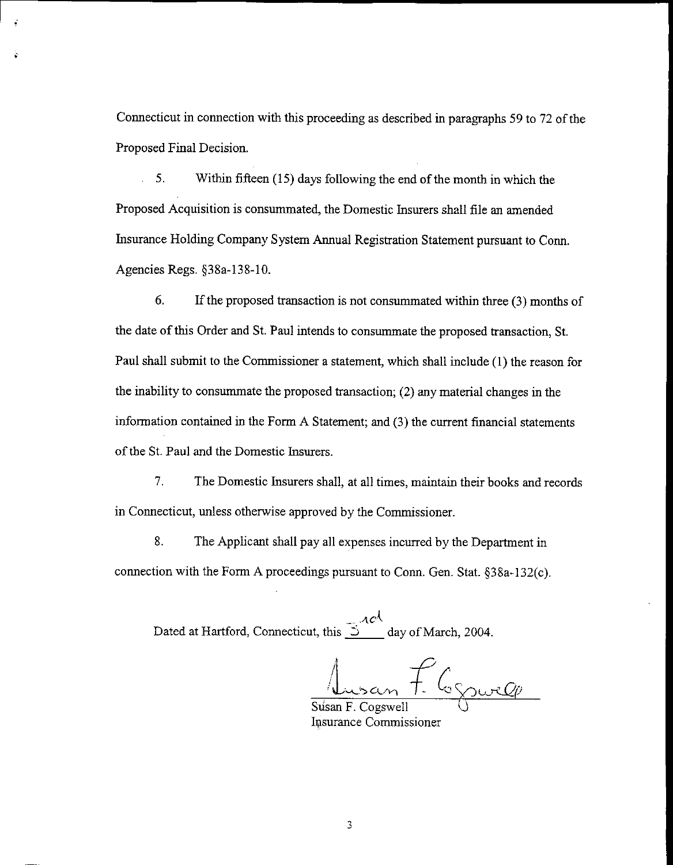Connecticut in connection with this proceeding as described in paragraphs 59 to 72 of the Proposed Final Decision.

÷.

 $5.$ l. Within fifteen (15) days following the end of the month in which the Proposed Acquisition is consummated, the Domestic Insurers shall file an amended Insurance Holding Company System Annual Registration Statement pursuant to Conn. Agencies Regs. §38a-138-10.

6. If the proposed transaction is not consummated within three  $(3)$  months of the date of this Order and St. Paul intends to consummate the proposed transaction, St. Paul shall submit to the Commissioner a statement, which shall include (1) the reason for the inability to consummate the proposed transaction;  $(2)$  any material changes in the information contained in the Form A Statement; and (3) the current financial statements of the St. Paul and the Domestic Insurers.

 $7<sub>1</sub>$ The Domestic Insurers shall, at all times, maintain their books and records in Connecticut, unless otherwise approved by the Commissioner.

8. The Applicant shall pay all expenses incurred by the Department in connection with the Form A proceedings pursuant to Conn. Gen. Stat. §38a-132(c).

Dated at Hartford, Connecticut, this  $\frac{2\alpha c \lambda}{\lambda}$  day of March, 2004.

Susan F. Cognocle

Susan F. Cogswell Insurance Commissioner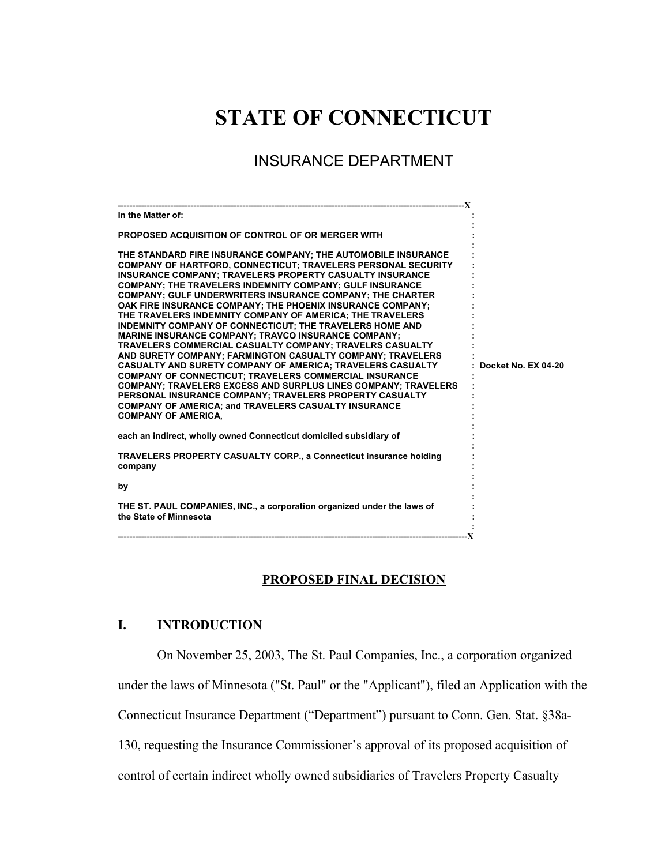# **STATE OF CONNECTICUT**

## INSURANCE DEPARTMENT

| --------------------------X                                                                                                                                                                                                                                                                                                                                                                                                                                                                                                                                                                                                                                                                                                                                                                                                                                                                                                                                                                                                                                                             |                     |
|-----------------------------------------------------------------------------------------------------------------------------------------------------------------------------------------------------------------------------------------------------------------------------------------------------------------------------------------------------------------------------------------------------------------------------------------------------------------------------------------------------------------------------------------------------------------------------------------------------------------------------------------------------------------------------------------------------------------------------------------------------------------------------------------------------------------------------------------------------------------------------------------------------------------------------------------------------------------------------------------------------------------------------------------------------------------------------------------|---------------------|
| In the Matter of:                                                                                                                                                                                                                                                                                                                                                                                                                                                                                                                                                                                                                                                                                                                                                                                                                                                                                                                                                                                                                                                                       |                     |
| PROPOSED ACQUISITION OF CONTROL OF OR MERGER WITH                                                                                                                                                                                                                                                                                                                                                                                                                                                                                                                                                                                                                                                                                                                                                                                                                                                                                                                                                                                                                                       |                     |
| THE STANDARD FIRE INSURANCE COMPANY; THE AUTOMOBILE INSURANCE<br><b>COMPANY OF HARTFORD, CONNECTICUT; TRAVELERS PERSONAL SECURITY</b><br><b>INSURANCE COMPANY: TRAVELERS PROPERTY CASUALTY INSURANCE</b><br>COMPANY; THE TRAVELERS INDEMNITY COMPANY; GULF INSURANCE<br>COMPANY; GULF UNDERWRITERS INSURANCE COMPANY; THE CHARTER<br>OAK FIRE INSURANCE COMPANY; THE PHOENIX INSURANCE COMPANY;<br>THE TRAVELERS INDEMNITY COMPANY OF AMERICA; THE TRAVELERS<br><b>INDEMNITY COMPANY OF CONNECTICUT: THE TRAVELERS HOME AND</b><br><b>MARINE INSURANCE COMPANY: TRAVCO INSURANCE COMPANY:</b><br>TRAVELERS COMMERCIAL CASUALTY COMPANY; TRAVELRS CASUALTY<br>AND SURETY COMPANY: FARMINGTON CASUALTY COMPANY: TRAVELERS<br><b>CASUALTY AND SURETY COMPANY OF AMERICA: TRAVELERS CASUALTY</b><br>COMPANY OF CONNECTICUT; TRAVELERS COMMERCIAL INSURANCE<br><b>COMPANY: TRAVELERS EXCESS AND SURPLUS LINES COMPANY: TRAVELERS</b><br>PERSONAL INSURANCE COMPANY; TRAVELERS PROPERTY CASUALTY<br><b>COMPANY OF AMERICA; and TRAVELERS CASUALTY INSURANCE</b><br><b>COMPANY OF AMERICA,</b> | Docket No. EX 04-20 |
| each an indirect, wholly owned Connecticut domiciled subsidiary of                                                                                                                                                                                                                                                                                                                                                                                                                                                                                                                                                                                                                                                                                                                                                                                                                                                                                                                                                                                                                      |                     |
| <b>TRAVELERS PROPERTY CASUALTY CORP., a Connecticut insurance holding</b><br>company                                                                                                                                                                                                                                                                                                                                                                                                                                                                                                                                                                                                                                                                                                                                                                                                                                                                                                                                                                                                    |                     |
| by                                                                                                                                                                                                                                                                                                                                                                                                                                                                                                                                                                                                                                                                                                                                                                                                                                                                                                                                                                                                                                                                                      |                     |
| THE ST. PAUL COMPANIES, INC., a corporation organized under the laws of<br>the State of Minnesota                                                                                                                                                                                                                                                                                                                                                                                                                                                                                                                                                                                                                                                                                                                                                                                                                                                                                                                                                                                       |                     |
|                                                                                                                                                                                                                                                                                                                                                                                                                                                                                                                                                                                                                                                                                                                                                                                                                                                                                                                                                                                                                                                                                         |                     |

## **PROPOSED FINAL DECISION**

## **I. INTRODUCTION**

On November 25, 2003, The St. Paul Companies, Inc., a corporation organized

under the laws of Minnesota ("St. Paul" or the "Applicant"), filed an Application with the

Connecticut Insurance Department ("Department") pursuant to Conn. Gen. Stat. §38a-

130, requesting the Insurance Commissioner's approval of its proposed acquisition of

control of certain indirect wholly owned subsidiaries of Travelers Property Casualty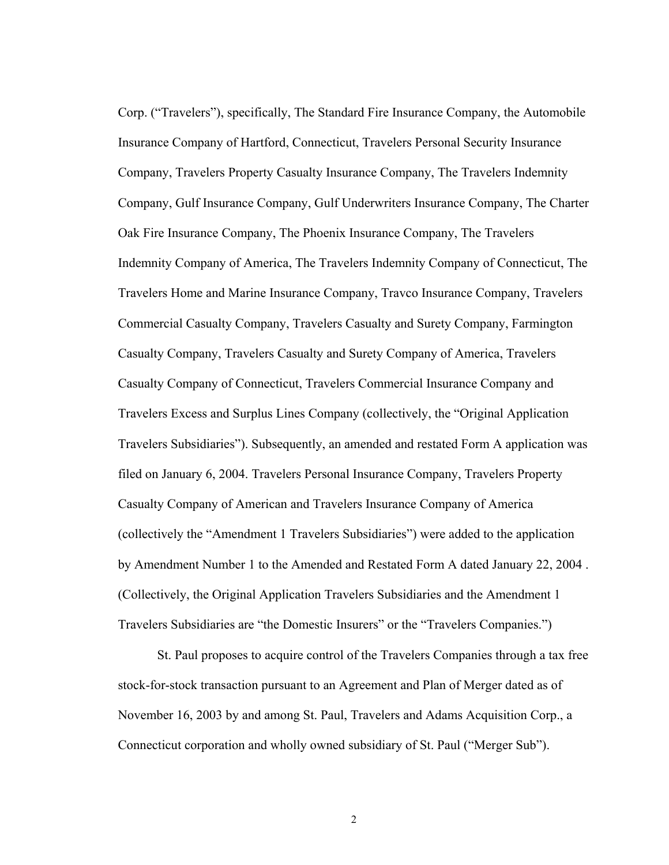Corp. ("Travelers"), specifically, The Standard Fire Insurance Company, the Automobile Insurance Company of Hartford, Connecticut, Travelers Personal Security Insurance Company, Travelers Property Casualty Insurance Company, The Travelers Indemnity Company, Gulf Insurance Company, Gulf Underwriters Insurance Company, The Charter Oak Fire Insurance Company, The Phoenix Insurance Company, The Travelers Indemnity Company of America, The Travelers Indemnity Company of Connecticut, The Travelers Home and Marine Insurance Company, Travco Insurance Company, Travelers Commercial Casualty Company, Travelers Casualty and Surety Company, Farmington Casualty Company, Travelers Casualty and Surety Company of America, Travelers Casualty Company of Connecticut, Travelers Commercial Insurance Company and Travelers Excess and Surplus Lines Company (collectively, the "Original Application Travelers Subsidiaries"). Subsequently, an amended and restated Form A application was filed on January 6, 2004. Travelers Personal Insurance Company, Travelers Property Casualty Company of American and Travelers Insurance Company of America (collectively the "Amendment 1 Travelers Subsidiaries") were added to the application by Amendment Number 1 to the Amended and Restated Form A dated January 22, 2004 . (Collectively, the Original Application Travelers Subsidiaries and the Amendment 1 Travelers Subsidiaries are "the Domestic Insurers" or the "Travelers Companies.")

St. Paul proposes to acquire control of the Travelers Companies through a tax free stock-for-stock transaction pursuant to an Agreement and Plan of Merger dated as of November 16, 2003 by and among St. Paul, Travelers and Adams Acquisition Corp., a Connecticut corporation and wholly owned subsidiary of St. Paul ("Merger Sub").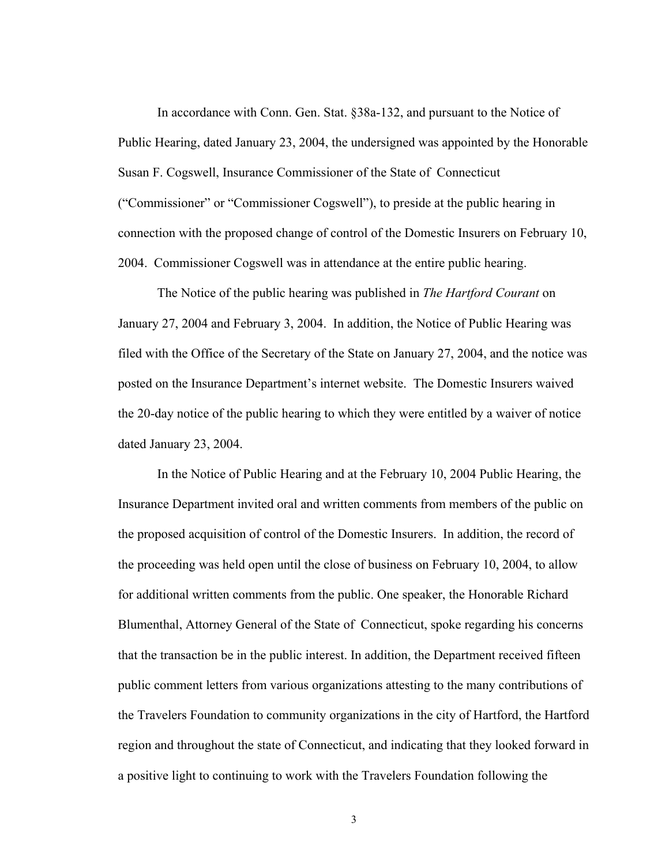In accordance with Conn. Gen. Stat. §38a-132, and pursuant to the Notice of Public Hearing, dated January 23, 2004, the undersigned was appointed by the Honorable Susan F. Cogswell, Insurance Commissioner of the State of Connecticut ("Commissioner" or "Commissioner Cogswell"), to preside at the public hearing in connection with the proposed change of control of the Domestic Insurers on February 10, 2004. Commissioner Cogswell was in attendance at the entire public hearing.

The Notice of the public hearing was published in *The Hartford Courant* on January 27, 2004 and February 3, 2004. In addition, the Notice of Public Hearing was filed with the Office of the Secretary of the State on January 27, 2004, and the notice was posted on the Insurance Department's internet website. The Domestic Insurers waived the 20-day notice of the public hearing to which they were entitled by a waiver of notice dated January 23, 2004.

In the Notice of Public Hearing and at the February 10, 2004 Public Hearing, the Insurance Department invited oral and written comments from members of the public on the proposed acquisition of control of the Domestic Insurers. In addition, the record of the proceeding was held open until the close of business on February 10, 2004, to allow for additional written comments from the public. One speaker, the Honorable Richard Blumenthal, Attorney General of the State of Connecticut, spoke regarding his concerns that the transaction be in the public interest. In addition, the Department received fifteen public comment letters from various organizations attesting to the many contributions of the Travelers Foundation to community organizations in the city of Hartford, the Hartford region and throughout the state of Connecticut, and indicating that they looked forward in a positive light to continuing to work with the Travelers Foundation following the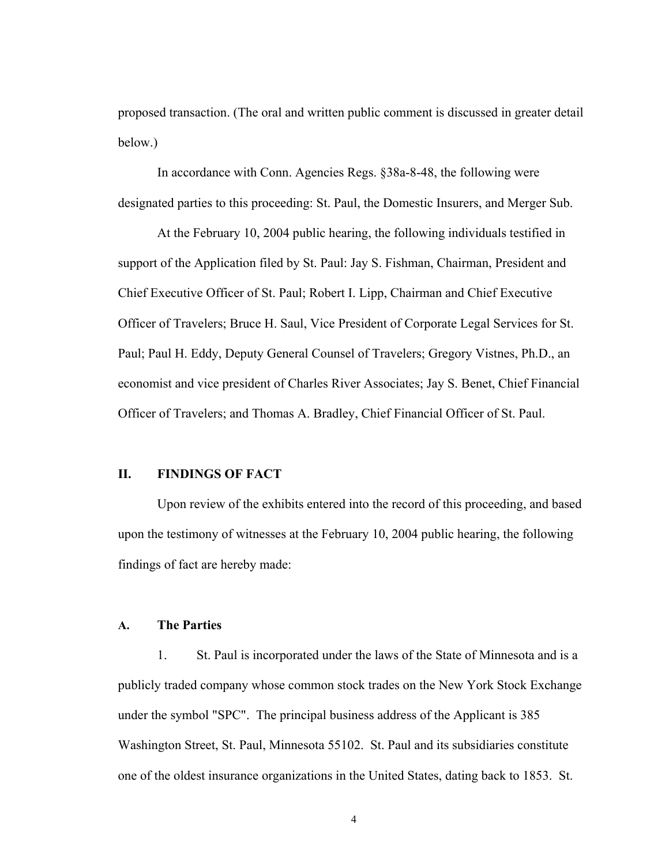proposed transaction. (The oral and written public comment is discussed in greater detail below.)

In accordance with Conn. Agencies Regs. §38a-8-48, the following were designated parties to this proceeding: St. Paul, the Domestic Insurers, and Merger Sub.

At the February 10, 2004 public hearing, the following individuals testified in support of the Application filed by St. Paul: Jay S. Fishman, Chairman, President and Chief Executive Officer of St. Paul; Robert I. Lipp, Chairman and Chief Executive Officer of Travelers; Bruce H. Saul, Vice President of Corporate Legal Services for St. Paul; Paul H. Eddy, Deputy General Counsel of Travelers; Gregory Vistnes, Ph.D., an economist and vice president of Charles River Associates; Jay S. Benet, Chief Financial Officer of Travelers; and Thomas A. Bradley, Chief Financial Officer of St. Paul.

#### **II. FINDINGS OF FACT**

Upon review of the exhibits entered into the record of this proceeding, and based upon the testimony of witnesses at the February 10, 2004 public hearing, the following findings of fact are hereby made:

## **A. The Parties**

1. St. Paul is incorporated under the laws of the State of Minnesota and is a publicly traded company whose common stock trades on the New York Stock Exchange under the symbol "SPC". The principal business address of the Applicant is 385 Washington Street, St. Paul, Minnesota 55102. St. Paul and its subsidiaries constitute one of the oldest insurance organizations in the United States, dating back to 1853. St.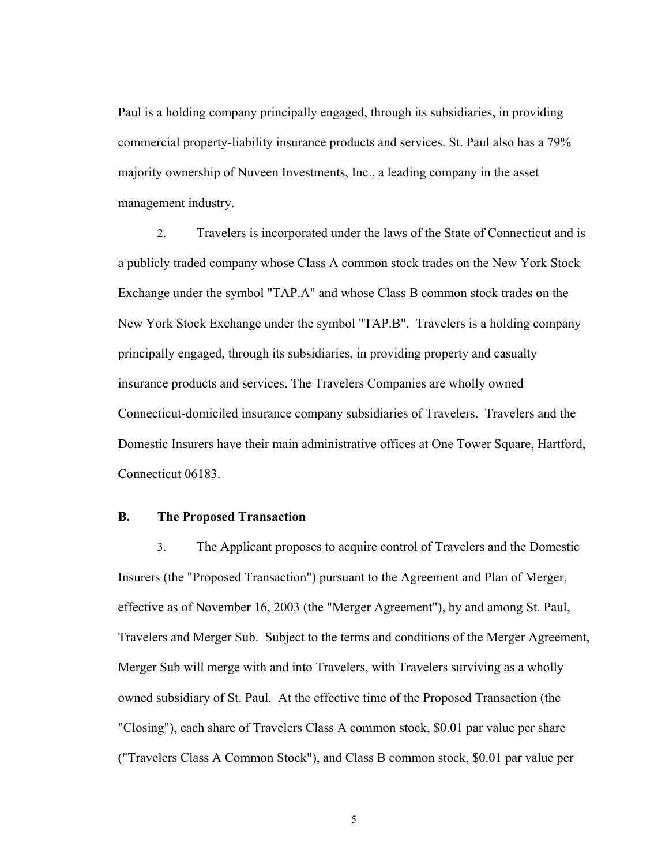Paul is a holding company principally engaged, through its subsidiaries, in providing commercial property-liability insurance products and services. St. Paul also has a 79% majority ownership of Nuveen Investments, Inc., a leading company in the asset management industry.

2. Travelers is incorporated under the laws of the State of Connecticut and is a publicly traded company whose Class A common stock trades on the New York Stock Exchange under the symbol "TAP.A" and whose Class B common stock trades on the New York Stock Exchange under the symbol "TAP.B". Travelers is a holding company principally engaged, through its subsidiaries, in providing property and casualty insurance products and services. The Travelers Companies are wholly owned Connecticut-domiciled insurance company subsidiaries of Travelers. Travelers and the Domestic Insurers have their main administrative offices at One Tower Square, Hartford, Connecticut 06183.

## **B. The Proposed Transaction**

3. The Applicant proposes to acquire control of Travelers and the Domestic Insurers (the "Proposed Transaction") pursuant to the Agreement and Plan of Merger, effective as of November 16, 2003 (the "Merger Agreement"), by and among St. Paul, Travelers and Merger Sub. Subject to the terms and conditions of the Merger Agreement, Merger Sub will merge with and into Travelers, with Travelers surviving as a wholly owned subsidiary of St. Paul. At the effective time of the Proposed Transaction (the "Closing"), each share of Travelers Class A common stock, \$0.01 par value per share ("Travelers Class A Common Stock"), and Class B common stock, \$0.01 par value per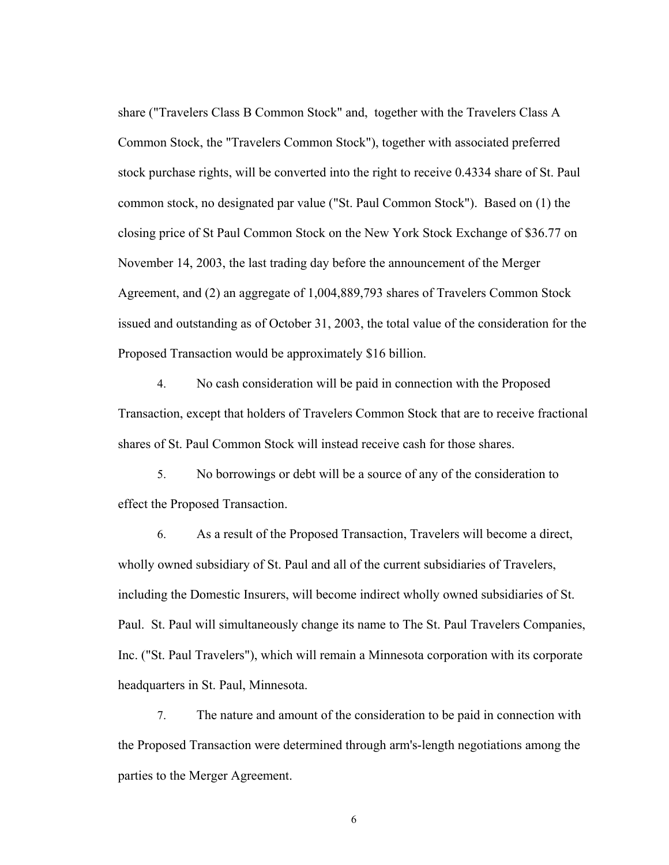share ("Travelers Class B Common Stock" and, together with the Travelers Class A Common Stock, the "Travelers Common Stock"), together with associated preferred stock purchase rights, will be converted into the right to receive 0.4334 share of St. Paul common stock, no designated par value ("St. Paul Common Stock"). Based on (1) the closing price of St Paul Common Stock on the New York Stock Exchange of \$36.77 on November 14, 2003, the last trading day before the announcement of the Merger Agreement, and (2) an aggregate of 1,004,889,793 shares of Travelers Common Stock issued and outstanding as of October 31, 2003, the total value of the consideration for the Proposed Transaction would be approximately \$16 billion.

4. No cash consideration will be paid in connection with the Proposed Transaction, except that holders of Travelers Common Stock that are to receive fractional shares of St. Paul Common Stock will instead receive cash for those shares.

5. No borrowings or debt will be a source of any of the consideration to effect the Proposed Transaction.

6. As a result of the Proposed Transaction, Travelers will become a direct, wholly owned subsidiary of St. Paul and all of the current subsidiaries of Travelers, including the Domestic Insurers, will become indirect wholly owned subsidiaries of St. Paul. St. Paul will simultaneously change its name to The St. Paul Travelers Companies, Inc. ("St. Paul Travelers"), which will remain a Minnesota corporation with its corporate headquarters in St. Paul, Minnesota.

7. The nature and amount of the consideration to be paid in connection with the Proposed Transaction were determined through arm's-length negotiations among the parties to the Merger Agreement.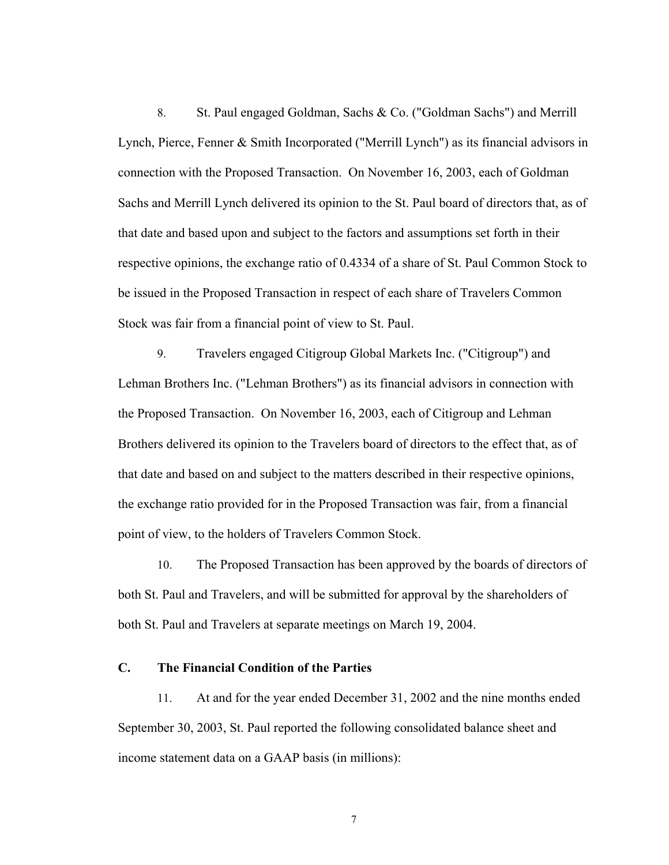8. St. Paul engaged Goldman, Sachs & Co. ("Goldman Sachs") and Merrill Lynch, Pierce, Fenner & Smith Incorporated ("Merrill Lynch") as its financial advisors in connection with the Proposed Transaction. On November 16, 2003, each of Goldman Sachs and Merrill Lynch delivered its opinion to the St. Paul board of directors that, as of that date and based upon and subject to the factors and assumptions set forth in their respective opinions, the exchange ratio of 0.4334 of a share of St. Paul Common Stock to be issued in the Proposed Transaction in respect of each share of Travelers Common Stock was fair from a financial point of view to St. Paul.

9. Travelers engaged Citigroup Global Markets Inc. ("Citigroup") and Lehman Brothers Inc. ("Lehman Brothers") as its financial advisors in connection with the Proposed Transaction. On November 16, 2003, each of Citigroup and Lehman Brothers delivered its opinion to the Travelers board of directors to the effect that, as of that date and based on and subject to the matters described in their respective opinions, the exchange ratio provided for in the Proposed Transaction was fair, from a financial point of view, to the holders of Travelers Common Stock.

10. The Proposed Transaction has been approved by the boards of directors of both St. Paul and Travelers, and will be submitted for approval by the shareholders of both St. Paul and Travelers at separate meetings on March 19, 2004.

### **C. The Financial Condition of the Parties**

11. At and for the year ended December 31, 2002 and the nine months ended September 30, 2003, St. Paul reported the following consolidated balance sheet and income statement data on a GAAP basis (in millions):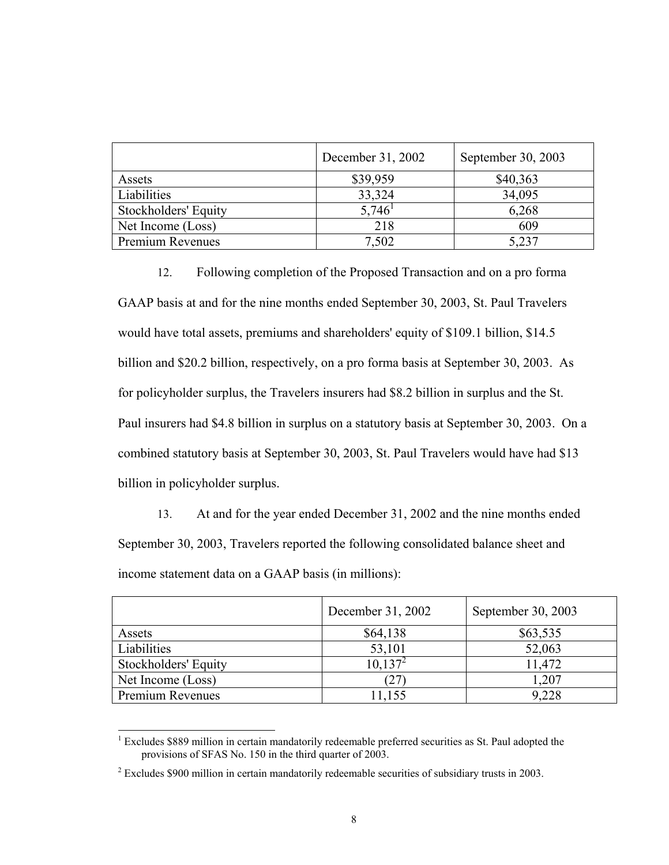|                      | December 31, 2002 | September 30, 2003 |
|----------------------|-------------------|--------------------|
| Assets               | \$39,959          | \$40,363           |
| Liabilities          | 33,324            | 34,095             |
| Stockholders' Equity | 5,746             | 6,268              |
| Net Income (Loss)    | 218               | 609                |
| Premium Revenues     | 7,502             | 5,237              |

12. Following completion of the Proposed Transaction and on a pro forma GAAP basis at and for the nine months ended September 30, 2003, St. Paul Travelers would have total assets, premiums and shareholders' equity of \$109.1 billion, \$14.5 billion and \$20.2 billion, respectively, on a pro forma basis at September 30, 2003. As for policyholder surplus, the Travelers insurers had \$8.2 billion in surplus and the St. Paul insurers had \$4.8 billion in surplus on a statutory basis at September 30, 2003. On a combined statutory basis at September 30, 2003, St. Paul Travelers would have had \$13 billion in policyholder surplus.

13. At and for the year ended December 31, 2002 and the nine months ended September 30, 2003, Travelers reported the following consolidated balance sheet and income statement data on a GAAP basis (in millions):

|                             | December 31, 2002 | September 30, 2003 |
|-----------------------------|-------------------|--------------------|
| Assets                      | \$64,138          | \$63,535           |
| Liabilities                 | 53,101            | 52,063             |
| <b>Stockholders' Equity</b> | $10,137^2$        | 11,472             |
| Net Income (Loss)           | (27               | .207               |
| Premium Revenues            | 1,155             | 9,228              |

<sup>&</sup>lt;sup>1</sup> Excludes \$889 million in certain mandatorily redeemable preferred securities as St. Paul adopted the provisions of SFAS No. 150 in the third quarter of 2003.

 $2^{2}$  Excludes \$900 million in certain mandatorily redeemable securities of subsidiary trusts in 2003.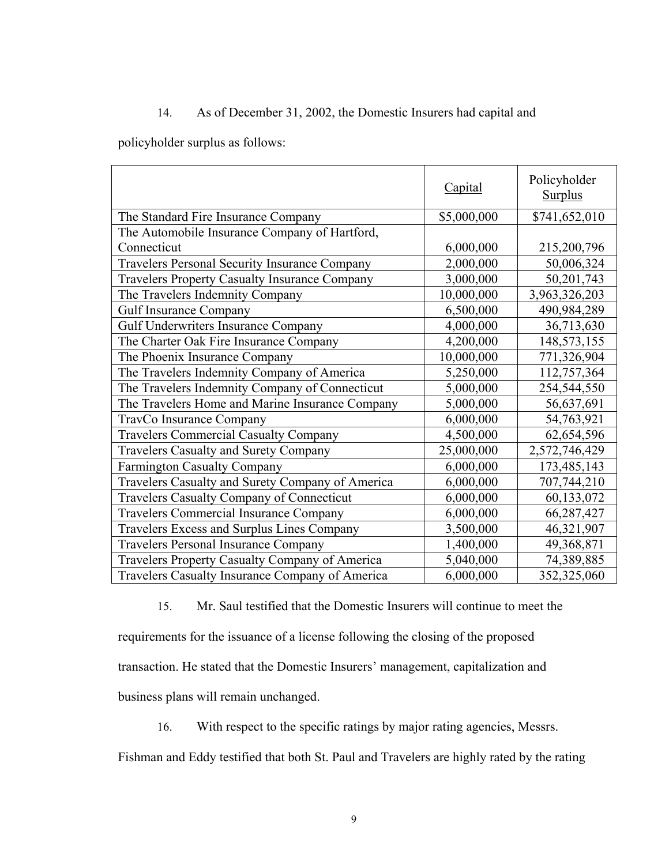## 14. As of December 31, 2002, the Domestic Insurers had capital and

policyholder surplus as follows:

|                                                      | <b>Capital</b> | Policyholder<br><b>Surplus</b> |
|------------------------------------------------------|----------------|--------------------------------|
| The Standard Fire Insurance Company                  | \$5,000,000    | \$741,652,010                  |
| The Automobile Insurance Company of Hartford,        |                |                                |
| Connecticut                                          | 6,000,000      | 215,200,796                    |
| <b>Travelers Personal Security Insurance Company</b> | 2,000,000      | 50,006,324                     |
| <b>Travelers Property Casualty Insurance Company</b> | 3,000,000      | 50,201,743                     |
| The Travelers Indemnity Company                      | 10,000,000     | 3,963,326,203                  |
| <b>Gulf Insurance Company</b>                        | 6,500,000      | 490,984,289                    |
| Gulf Underwriters Insurance Company                  | 4,000,000      | 36,713,630                     |
| The Charter Oak Fire Insurance Company               | 4,200,000      | 148,573,155                    |
| The Phoenix Insurance Company                        | 10,000,000     | 771,326,904                    |
| The Travelers Indemnity Company of America           | 5,250,000      | 112,757,364                    |
| The Travelers Indemnity Company of Connecticut       | 5,000,000      | 254,544,550                    |
| The Travelers Home and Marine Insurance Company      | 5,000,000      | 56,637,691                     |
| TravCo Insurance Company                             | 6,000,000      | 54,763,921                     |
| <b>Travelers Commercial Casualty Company</b>         | 4,500,000      | 62,654,596                     |
| <b>Travelers Casualty and Surety Company</b>         | 25,000,000     | 2,572,746,429                  |
| <b>Farmington Casualty Company</b>                   | 6,000,000      | 173,485,143                    |
| Travelers Casualty and Surety Company of America     | 6,000,000      | 707,744,210                    |
| <b>Travelers Casualty Company of Connecticut</b>     | 6,000,000      | 60,133,072                     |
| <b>Travelers Commercial Insurance Company</b>        | 6,000,000      | 66,287,427                     |
| Travelers Excess and Surplus Lines Company           | 3,500,000      | 46,321,907                     |
| <b>Travelers Personal Insurance Company</b>          | 1,400,000      | 49,368,871                     |
| Travelers Property Casualty Company of America       | 5,040,000      | 74,389,885                     |
| Travelers Casualty Insurance Company of America      | 6,000,000      | 352,325,060                    |

15. Mr. Saul testified that the Domestic Insurers will continue to meet the requirements for the issuance of a license following the closing of the proposed transaction. He stated that the Domestic Insurers' management, capitalization and business plans will remain unchanged.

16. With respect to the specific ratings by major rating agencies, Messrs.

Fishman and Eddy testified that both St. Paul and Travelers are highly rated by the rating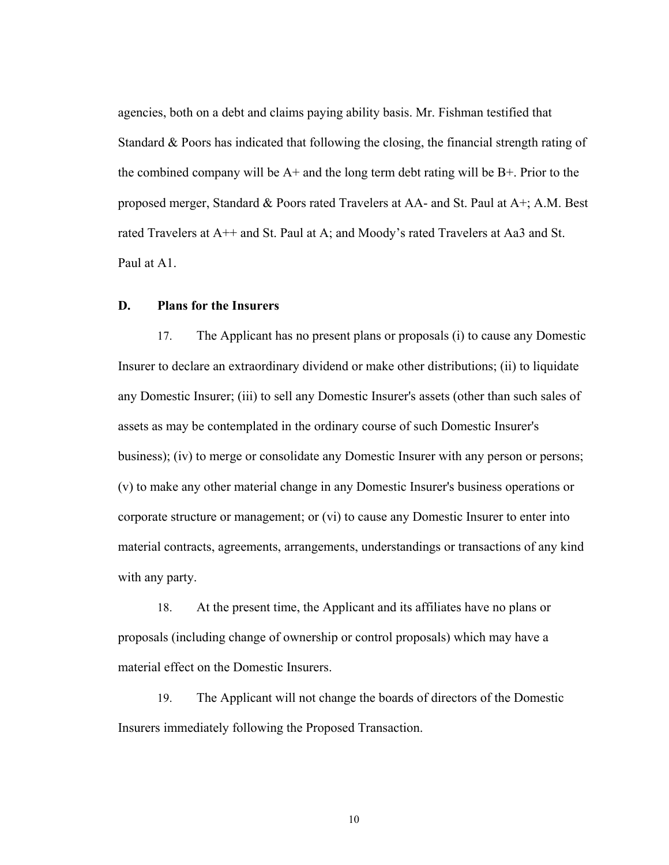agencies, both on a debt and claims paying ability basis. Mr. Fishman testified that Standard & Poors has indicated that following the closing, the financial strength rating of the combined company will be  $A<sup>+</sup>$  and the long term debt rating will be  $B<sup>+</sup>$ . Prior to the proposed merger, Standard & Poors rated Travelers at AA- and St. Paul at A+; A.M. Best rated Travelers at A++ and St. Paul at A; and Moody's rated Travelers at Aa3 and St. Paul at A1.

## **D. Plans for the Insurers**

17. The Applicant has no present plans or proposals (i) to cause any Domestic Insurer to declare an extraordinary dividend or make other distributions; (ii) to liquidate any Domestic Insurer; (iii) to sell any Domestic Insurer's assets (other than such sales of assets as may be contemplated in the ordinary course of such Domestic Insurer's business); (iv) to merge or consolidate any Domestic Insurer with any person or persons; (v) to make any other material change in any Domestic Insurer's business operations or corporate structure or management; or (vi) to cause any Domestic Insurer to enter into material contracts, agreements, arrangements, understandings or transactions of any kind with any party.

18. At the present time, the Applicant and its affiliates have no plans or proposals (including change of ownership or control proposals) which may have a material effect on the Domestic Insurers.

19. The Applicant will not change the boards of directors of the Domestic Insurers immediately following the Proposed Transaction.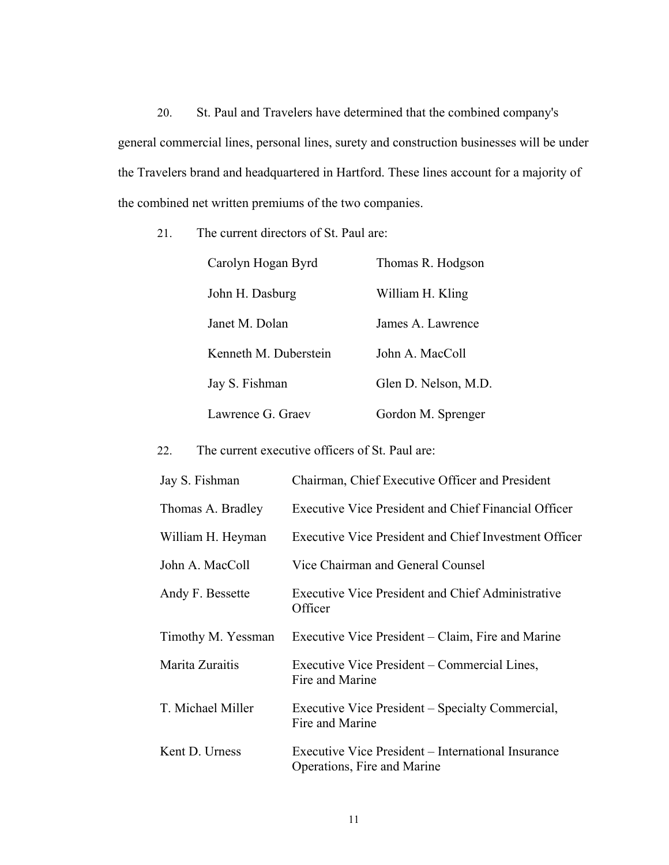20. St. Paul and Travelers have determined that the combined company's general commercial lines, personal lines, surety and construction businesses will be under the Travelers brand and headquartered in Hartford. These lines account for a majority of the combined net written premiums of the two companies.

21. The current directors of St. Paul are:

| Carolyn Hogan Byrd    | Thomas R. Hodgson    |
|-----------------------|----------------------|
| John H. Dasburg       | William H. Kling     |
| Janet M. Dolan        | James A. Lawrence    |
| Kenneth M. Duberstein | John A MacColl       |
| Jay S. Fishman        | Glen D. Nelson, M.D. |
| Lawrence G. Graev     | Gordon M. Sprenger   |

22. The current executive officers of St. Paul are:

| Jay S. Fishman     | Chairman, Chief Executive Officer and President                                   |
|--------------------|-----------------------------------------------------------------------------------|
| Thomas A. Bradley  | <b>Executive Vice President and Chief Financial Officer</b>                       |
| William H. Heyman  | Executive Vice President and Chief Investment Officer                             |
| John A. MacColl    | Vice Chairman and General Counsel                                                 |
| Andy F. Bessette   | Executive Vice President and Chief Administrative<br>Officer                      |
| Timothy M. Yessman | Executive Vice President – Claim, Fire and Marine                                 |
| Marita Zuraitis    | Executive Vice President – Commercial Lines,<br>Fire and Marine                   |
| T. Michael Miller  | Executive Vice President – Specialty Commercial,<br>Fire and Marine               |
| Kent D. Urness     | Executive Vice President – International Insurance<br>Operations, Fire and Marine |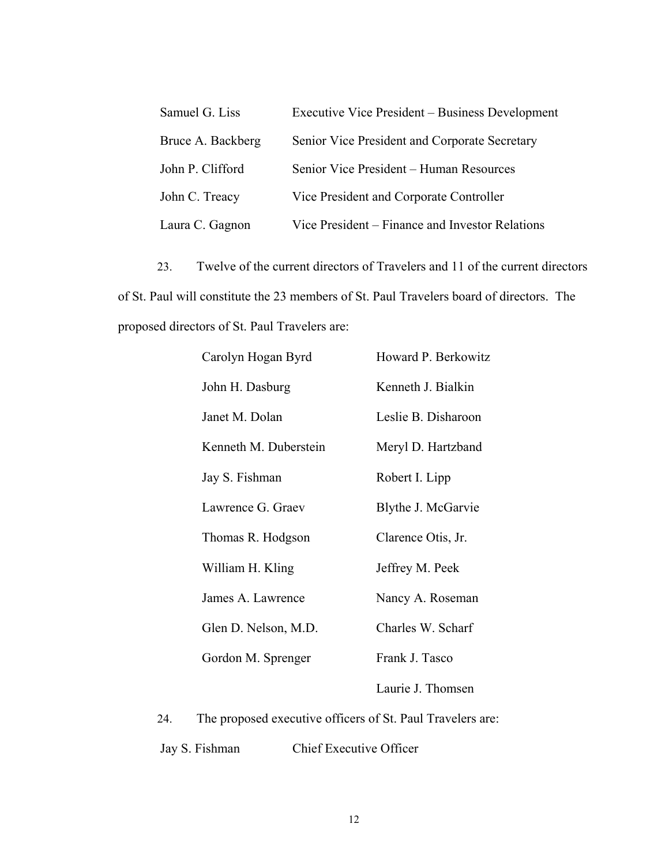| Samuel G. Liss    | Executive Vice President – Business Development |
|-------------------|-------------------------------------------------|
| Bruce A. Backberg | Senior Vice President and Corporate Secretary   |
| John P. Clifford  | Senior Vice President – Human Resources         |
| John C. Treacy    | Vice President and Corporate Controller         |
| Laura C. Gagnon   | Vice President – Finance and Investor Relations |

23. Twelve of the current directors of Travelers and 11 of the current directors of St. Paul will constitute the 23 members of St. Paul Travelers board of directors. The proposed directors of St. Paul Travelers are:

| Carolyn Hogan Byrd    | Howard P. Berkowitz |
|-----------------------|---------------------|
| John H. Dasburg       | Kenneth J. Bialkin  |
| Janet M. Dolan        | Leslie B. Disharoon |
| Kenneth M. Duberstein | Meryl D. Hartzband  |
| Jay S. Fishman        | Robert I. Lipp      |
| Lawrence G. Graev     | Blythe J. McGarvie  |
| Thomas R. Hodgson     | Clarence Otis, Jr.  |
| William H. Kling      | Jeffrey M. Peek     |
| James A. Lawrence     | Nancy A. Roseman    |
| Glen D. Nelson, M.D.  | Charles W. Scharf   |
| Gordon M. Sprenger    | Frank J. Tasco      |
|                       | Laurie J. Thomsen   |
|                       |                     |

24. The proposed executive officers of St. Paul Travelers are:

Jay S. Fishman Chief Executive Officer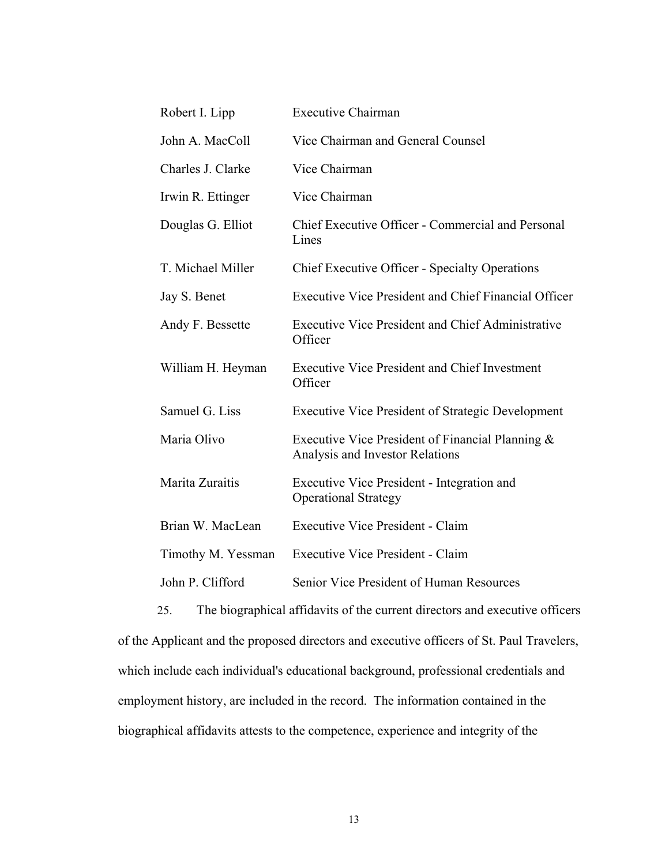| Robert I. Lipp     | <b>Executive Chairman</b>                                                           |
|--------------------|-------------------------------------------------------------------------------------|
| John A. MacColl    | Vice Chairman and General Counsel                                                   |
| Charles J. Clarke  | Vice Chairman                                                                       |
| Irwin R. Ettinger  | Vice Chairman                                                                       |
| Douglas G. Elliot  | Chief Executive Officer - Commercial and Personal<br>Lines                          |
| T. Michael Miller  | <b>Chief Executive Officer - Specialty Operations</b>                               |
| Jay S. Benet       | <b>Executive Vice President and Chief Financial Officer</b>                         |
| Andy F. Bessette   | <b>Executive Vice President and Chief Administrative</b><br>Officer                 |
| William H. Heyman  | <b>Executive Vice President and Chief Investment</b><br>Officer                     |
| Samuel G. Liss     | <b>Executive Vice President of Strategic Development</b>                            |
| Maria Olivo        | Executive Vice President of Financial Planning &<br>Analysis and Investor Relations |
| Marita Zuraitis    | Executive Vice President - Integration and<br><b>Operational Strategy</b>           |
| Brian W. MacLean   | <b>Executive Vice President - Claim</b>                                             |
| Timothy M. Yessman | <b>Executive Vice President - Claim</b>                                             |
| John P. Clifford   | Senior Vice President of Human Resources                                            |
|                    |                                                                                     |

25. The biographical affidavits of the current directors and executive officers of the Applicant and the proposed directors and executive officers of St. Paul Travelers, which include each individual's educational background, professional credentials and employment history, are included in the record. The information contained in the biographical affidavits attests to the competence, experience and integrity of the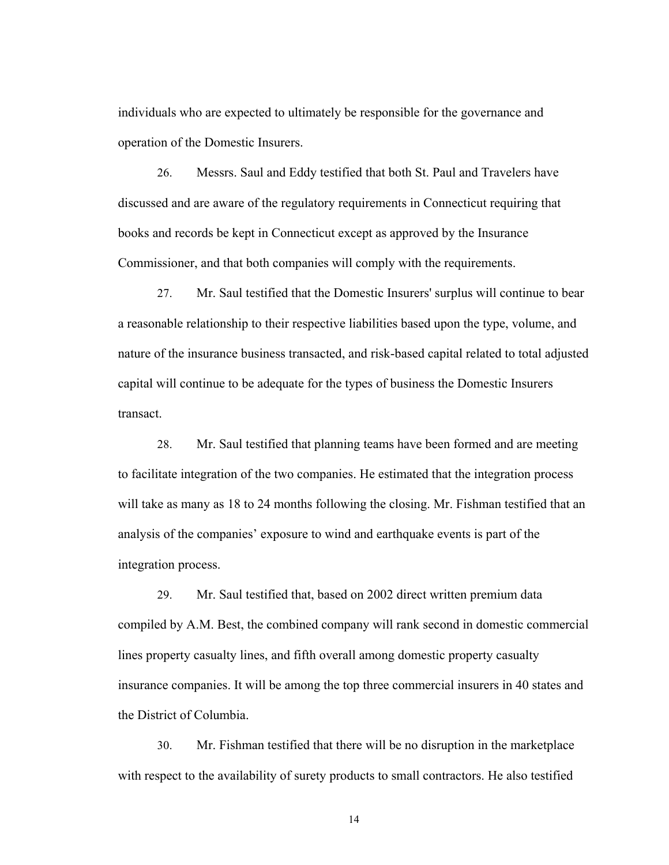individuals who are expected to ultimately be responsible for the governance and operation of the Domestic Insurers.

26. Messrs. Saul and Eddy testified that both St. Paul and Travelers have discussed and are aware of the regulatory requirements in Connecticut requiring that books and records be kept in Connecticut except as approved by the Insurance Commissioner, and that both companies will comply with the requirements.

27. Mr. Saul testified that the Domestic Insurers' surplus will continue to bear a reasonable relationship to their respective liabilities based upon the type, volume, and nature of the insurance business transacted, and risk-based capital related to total adjusted capital will continue to be adequate for the types of business the Domestic Insurers transact.

28. Mr. Saul testified that planning teams have been formed and are meeting to facilitate integration of the two companies. He estimated that the integration process will take as many as 18 to 24 months following the closing. Mr. Fishman testified that an analysis of the companies' exposure to wind and earthquake events is part of the integration process.

29. Mr. Saul testified that, based on 2002 direct written premium data compiled by A.M. Best, the combined company will rank second in domestic commercial lines property casualty lines, and fifth overall among domestic property casualty insurance companies. It will be among the top three commercial insurers in 40 states and the District of Columbia.

30. Mr. Fishman testified that there will be no disruption in the marketplace with respect to the availability of surety products to small contractors. He also testified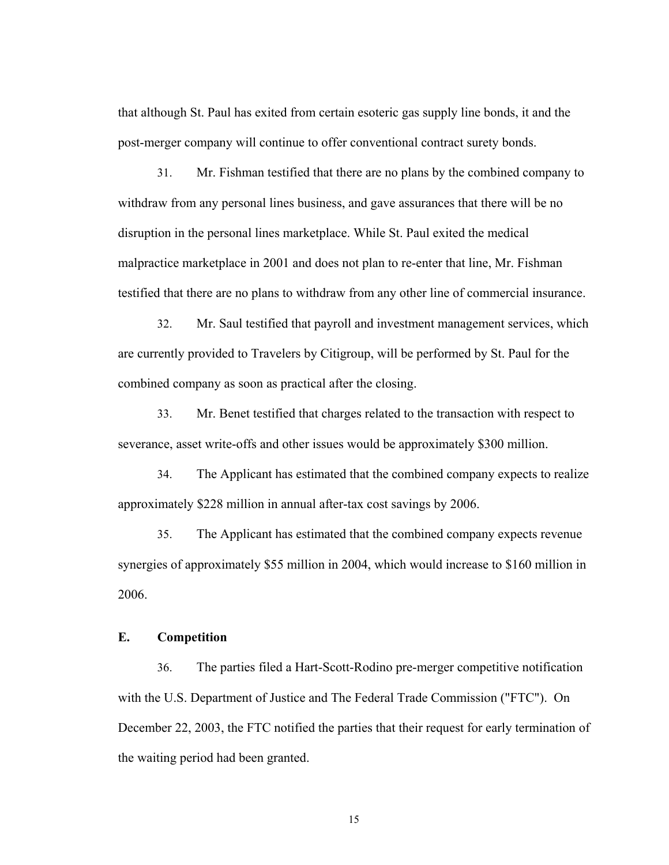that although St. Paul has exited from certain esoteric gas supply line bonds, it and the post-merger company will continue to offer conventional contract surety bonds.

31. Mr. Fishman testified that there are no plans by the combined company to withdraw from any personal lines business, and gave assurances that there will be no disruption in the personal lines marketplace. While St. Paul exited the medical malpractice marketplace in 2001 and does not plan to re-enter that line, Mr. Fishman testified that there are no plans to withdraw from any other line of commercial insurance.

32. Mr. Saul testified that payroll and investment management services, which are currently provided to Travelers by Citigroup, will be performed by St. Paul for the combined company as soon as practical after the closing.

33. Mr. Benet testified that charges related to the transaction with respect to severance, asset write-offs and other issues would be approximately \$300 million.

34. The Applicant has estimated that the combined company expects to realize approximately \$228 million in annual after-tax cost savings by 2006.

35. The Applicant has estimated that the combined company expects revenue synergies of approximately \$55 million in 2004, which would increase to \$160 million in 2006.

#### **E. Competition**

36. The parties filed a Hart-Scott-Rodino pre-merger competitive notification with the U.S. Department of Justice and The Federal Trade Commission ("FTC"). On December 22, 2003, the FTC notified the parties that their request for early termination of the waiting period had been granted.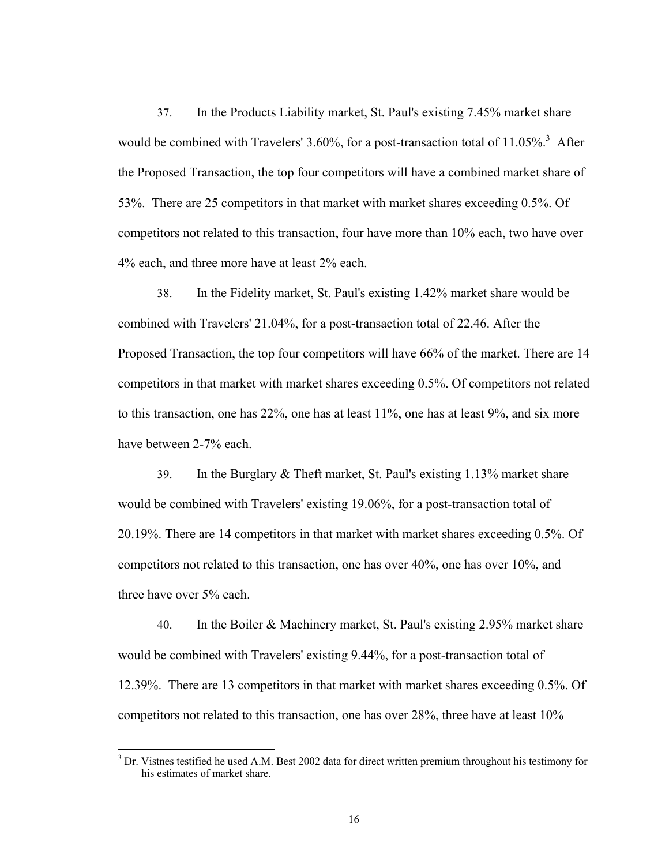37. In the Products Liability market, St. Paul's existing 7.45% market share would be combined with Travelers' 3.60%, for a post-transaction total of  $11.05\%$ <sup>3</sup> After the Proposed Transaction, the top four competitors will have a combined market share of 53%. There are 25 competitors in that market with market shares exceeding 0.5%. Of competitors not related to this transaction, four have more than 10% each, two have over 4% each, and three more have at least 2% each.

38. In the Fidelity market, St. Paul's existing 1.42% market share would be combined with Travelers' 21.04%, for a post-transaction total of 22.46. After the Proposed Transaction, the top four competitors will have 66% of the market. There are 14 competitors in that market with market shares exceeding 0.5%. Of competitors not related to this transaction, one has 22%, one has at least 11%, one has at least 9%, and six more have between 2-7% each.

39. In the Burglary & Theft market, St. Paul's existing 1.13% market share would be combined with Travelers' existing 19.06%, for a post-transaction total of 20.19%. There are 14 competitors in that market with market shares exceeding 0.5%. Of competitors not related to this transaction, one has over 40%, one has over 10%, and three have over 5% each.

40. In the Boiler & Machinery market, St. Paul's existing 2.95% market share would be combined with Travelers' existing 9.44%, for a post-transaction total of 12.39%. There are 13 competitors in that market with market shares exceeding 0.5%. Of competitors not related to this transaction, one has over 28%, three have at least 10%

 $\overline{\phantom{a}}$ 

<sup>&</sup>lt;sup>3</sup> Dr. Vistnes testified he used A.M. Best 2002 data for direct written premium throughout his testimony for his estimates of market share.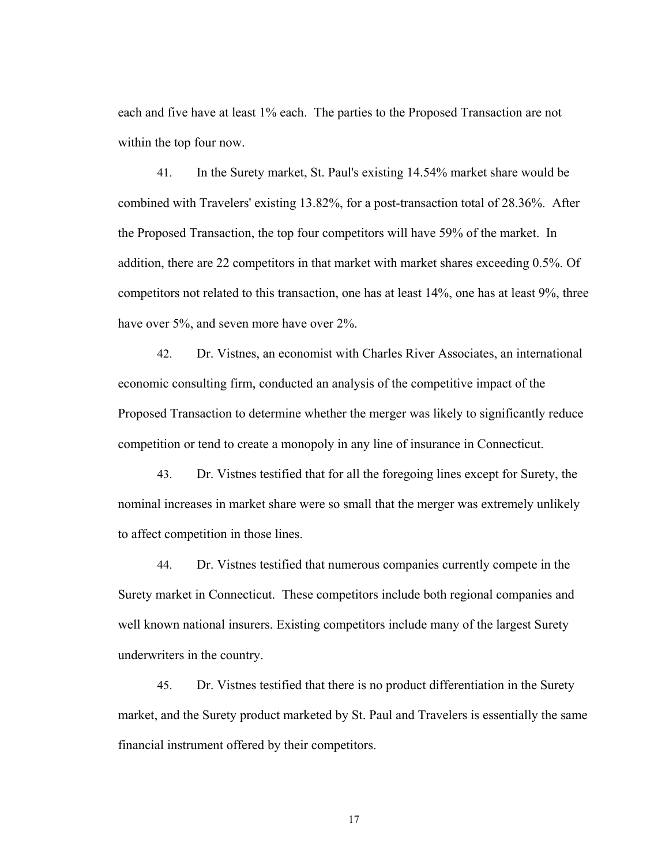each and five have at least 1% each. The parties to the Proposed Transaction are not within the top four now.

41. In the Surety market, St. Paul's existing 14.54% market share would be combined with Travelers' existing 13.82%, for a post-transaction total of 28.36%. After the Proposed Transaction, the top four competitors will have 59% of the market. In addition, there are 22 competitors in that market with market shares exceeding 0.5%. Of competitors not related to this transaction, one has at least 14%, one has at least 9%, three have over 5%, and seven more have over 2%.

42. Dr. Vistnes, an economist with Charles River Associates, an international economic consulting firm, conducted an analysis of the competitive impact of the Proposed Transaction to determine whether the merger was likely to significantly reduce competition or tend to create a monopoly in any line of insurance in Connecticut.

43. Dr. Vistnes testified that for all the foregoing lines except for Surety, the nominal increases in market share were so small that the merger was extremely unlikely to affect competition in those lines.

44. Dr. Vistnes testified that numerous companies currently compete in the Surety market in Connecticut. These competitors include both regional companies and well known national insurers. Existing competitors include many of the largest Surety underwriters in the country.

45. Dr. Vistnes testified that there is no product differentiation in the Surety market, and the Surety product marketed by St. Paul and Travelers is essentially the same financial instrument offered by their competitors.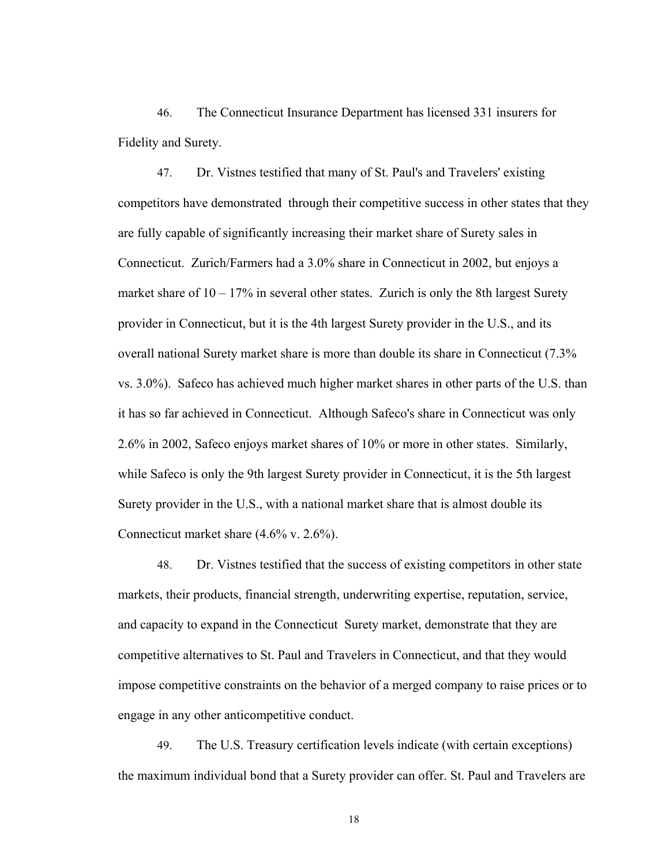46. The Connecticut Insurance Department has licensed 331 insurers for Fidelity and Surety.

47. Dr. Vistnes testified that many of St. Paul's and Travelers' existing competitors have demonstrated through their competitive success in other states that they are fully capable of significantly increasing their market share of Surety sales in Connecticut. Zurich/Farmers had a 3.0% share in Connecticut in 2002, but enjoys a market share of  $10 - 17\%$  in several other states. Zurich is only the 8th largest Surety provider in Connecticut, but it is the 4th largest Surety provider in the U.S., and its overall national Surety market share is more than double its share in Connecticut (7.3% vs. 3.0%). Safeco has achieved much higher market shares in other parts of the U.S. than it has so far achieved in Connecticut. Although Safeco's share in Connecticut was only 2.6% in 2002, Safeco enjoys market shares of 10% or more in other states. Similarly, while Safeco is only the 9th largest Surety provider in Connecticut, it is the 5th largest Surety provider in the U.S., with a national market share that is almost double its Connecticut market share (4.6% v. 2.6%).

48. Dr. Vistnes testified that the success of existing competitors in other state markets, their products, financial strength, underwriting expertise, reputation, service, and capacity to expand in the Connecticut Surety market, demonstrate that they are competitive alternatives to St. Paul and Travelers in Connecticut, and that they would impose competitive constraints on the behavior of a merged company to raise prices or to engage in any other anticompetitive conduct.

49. The U.S. Treasury certification levels indicate (with certain exceptions) the maximum individual bond that a Surety provider can offer. St. Paul and Travelers are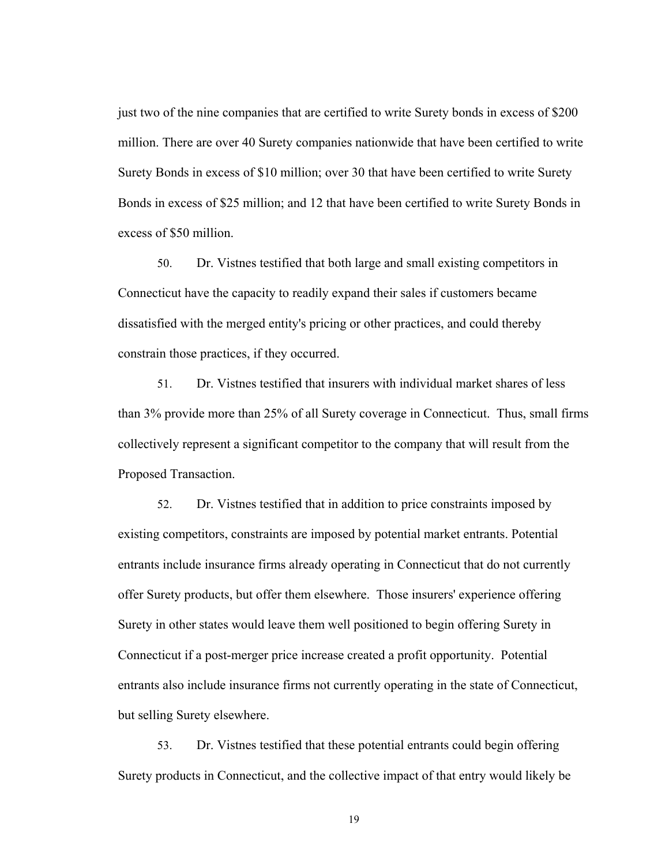just two of the nine companies that are certified to write Surety bonds in excess of \$200 million. There are over 40 Surety companies nationwide that have been certified to write Surety Bonds in excess of \$10 million; over 30 that have been certified to write Surety Bonds in excess of \$25 million; and 12 that have been certified to write Surety Bonds in excess of \$50 million.

50. Dr. Vistnes testified that both large and small existing competitors in Connecticut have the capacity to readily expand their sales if customers became dissatisfied with the merged entity's pricing or other practices, and could thereby constrain those practices, if they occurred.

51. Dr. Vistnes testified that insurers with individual market shares of less than 3% provide more than 25% of all Surety coverage in Connecticut. Thus, small firms collectively represent a significant competitor to the company that will result from the Proposed Transaction.

52. Dr. Vistnes testified that in addition to price constraints imposed by existing competitors, constraints are imposed by potential market entrants. Potential entrants include insurance firms already operating in Connecticut that do not currently offer Surety products, but offer them elsewhere. Those insurers' experience offering Surety in other states would leave them well positioned to begin offering Surety in Connecticut if a post-merger price increase created a profit opportunity. Potential entrants also include insurance firms not currently operating in the state of Connecticut, but selling Surety elsewhere.

53. Dr. Vistnes testified that these potential entrants could begin offering Surety products in Connecticut, and the collective impact of that entry would likely be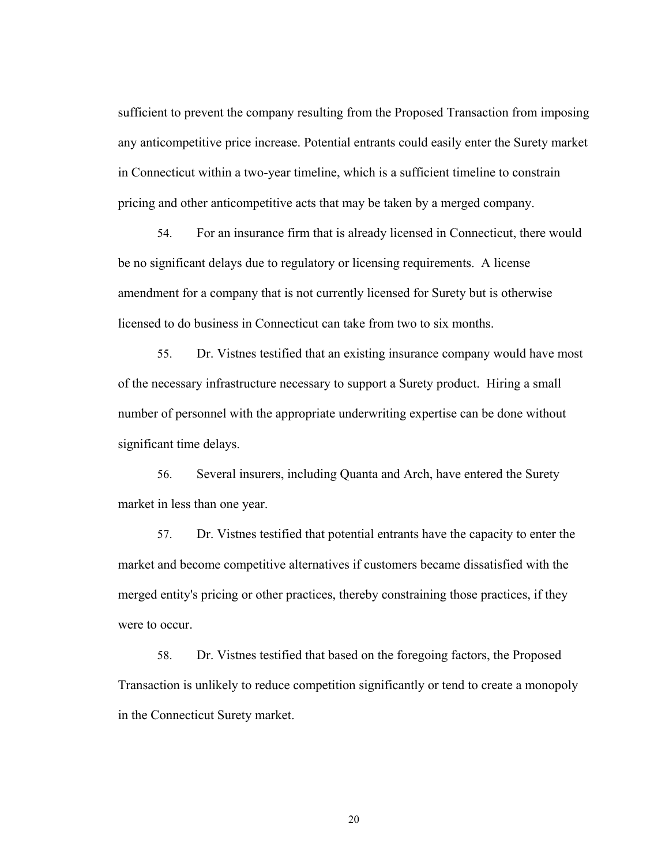sufficient to prevent the company resulting from the Proposed Transaction from imposing any anticompetitive price increase. Potential entrants could easily enter the Surety market in Connecticut within a two-year timeline, which is a sufficient timeline to constrain pricing and other anticompetitive acts that may be taken by a merged company.

54. For an insurance firm that is already licensed in Connecticut, there would be no significant delays due to regulatory or licensing requirements. A license amendment for a company that is not currently licensed for Surety but is otherwise licensed to do business in Connecticut can take from two to six months.

55. Dr. Vistnes testified that an existing insurance company would have most of the necessary infrastructure necessary to support a Surety product. Hiring a small number of personnel with the appropriate underwriting expertise can be done without significant time delays.

56. Several insurers, including Quanta and Arch, have entered the Surety market in less than one year.

57. Dr. Vistnes testified that potential entrants have the capacity to enter the market and become competitive alternatives if customers became dissatisfied with the merged entity's pricing or other practices, thereby constraining those practices, if they were to occur.

58. Dr. Vistnes testified that based on the foregoing factors, the Proposed Transaction is unlikely to reduce competition significantly or tend to create a monopoly in the Connecticut Surety market.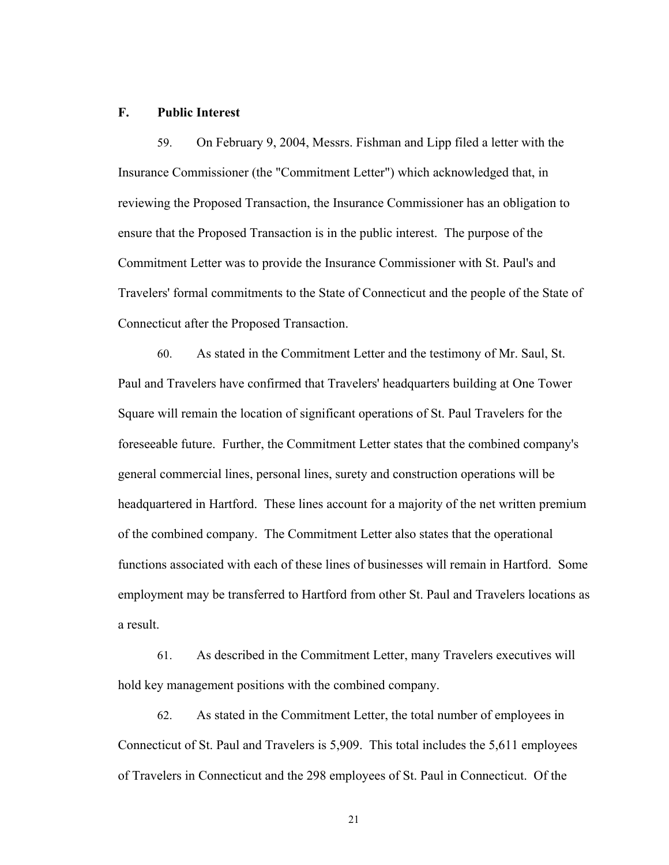#### **F. Public Interest**

59. On February 9, 2004, Messrs. Fishman and Lipp filed a letter with the Insurance Commissioner (the "Commitment Letter") which acknowledged that, in reviewing the Proposed Transaction, the Insurance Commissioner has an obligation to ensure that the Proposed Transaction is in the public interest. The purpose of the Commitment Letter was to provide the Insurance Commissioner with St. Paul's and Travelers' formal commitments to the State of Connecticut and the people of the State of Connecticut after the Proposed Transaction.

60. As stated in the Commitment Letter and the testimony of Mr. Saul, St. Paul and Travelers have confirmed that Travelers' headquarters building at One Tower Square will remain the location of significant operations of St. Paul Travelers for the foreseeable future. Further, the Commitment Letter states that the combined company's general commercial lines, personal lines, surety and construction operations will be headquartered in Hartford. These lines account for a majority of the net written premium of the combined company. The Commitment Letter also states that the operational functions associated with each of these lines of businesses will remain in Hartford. Some employment may be transferred to Hartford from other St. Paul and Travelers locations as a result.

61. As described in the Commitment Letter, many Travelers executives will hold key management positions with the combined company.

62. As stated in the Commitment Letter, the total number of employees in Connecticut of St. Paul and Travelers is 5,909. This total includes the 5,611 employees of Travelers in Connecticut and the 298 employees of St. Paul in Connecticut. Of the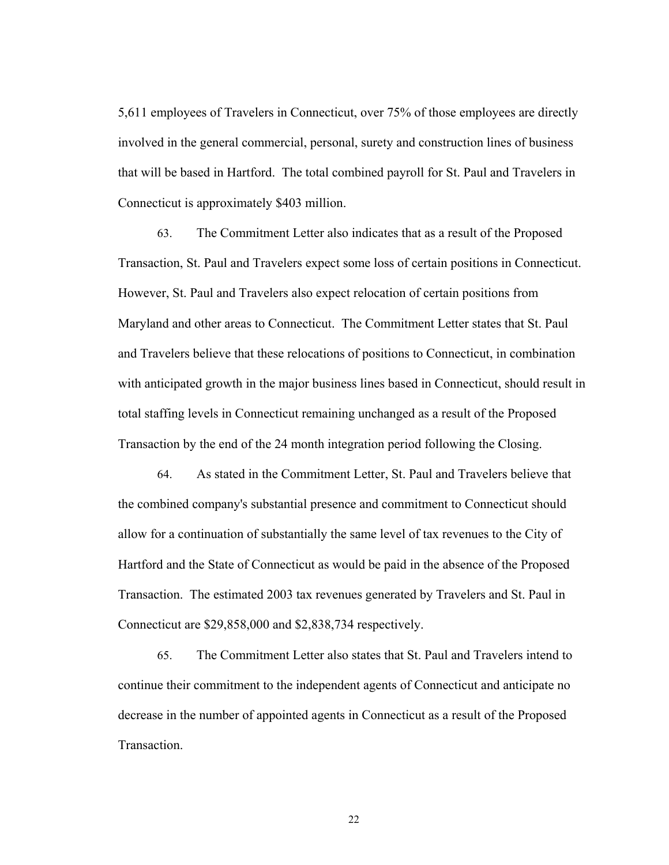5,611 employees of Travelers in Connecticut, over 75% of those employees are directly involved in the general commercial, personal, surety and construction lines of business that will be based in Hartford. The total combined payroll for St. Paul and Travelers in Connecticut is approximately \$403 million.

63. The Commitment Letter also indicates that as a result of the Proposed Transaction, St. Paul and Travelers expect some loss of certain positions in Connecticut. However, St. Paul and Travelers also expect relocation of certain positions from Maryland and other areas to Connecticut. The Commitment Letter states that St. Paul and Travelers believe that these relocations of positions to Connecticut, in combination with anticipated growth in the major business lines based in Connecticut, should result in total staffing levels in Connecticut remaining unchanged as a result of the Proposed Transaction by the end of the 24 month integration period following the Closing.

64. As stated in the Commitment Letter, St. Paul and Travelers believe that the combined company's substantial presence and commitment to Connecticut should allow for a continuation of substantially the same level of tax revenues to the City of Hartford and the State of Connecticut as would be paid in the absence of the Proposed Transaction. The estimated 2003 tax revenues generated by Travelers and St. Paul in Connecticut are \$29,858,000 and \$2,838,734 respectively.

65. The Commitment Letter also states that St. Paul and Travelers intend to continue their commitment to the independent agents of Connecticut and anticipate no decrease in the number of appointed agents in Connecticut as a result of the Proposed Transaction.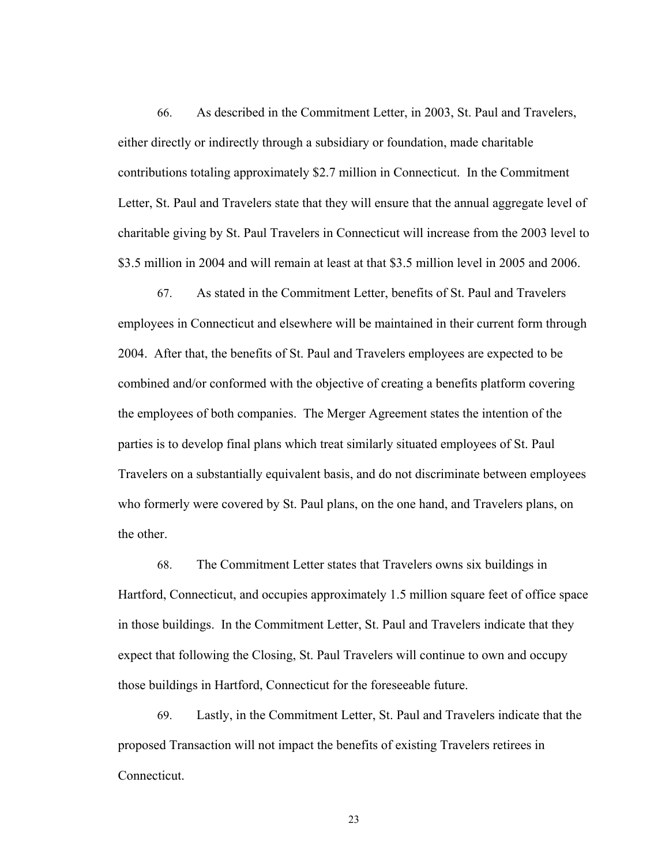66. As described in the Commitment Letter, in 2003, St. Paul and Travelers, either directly or indirectly through a subsidiary or foundation, made charitable contributions totaling approximately \$2.7 million in Connecticut. In the Commitment Letter, St. Paul and Travelers state that they will ensure that the annual aggregate level of charitable giving by St. Paul Travelers in Connecticut will increase from the 2003 level to \$3.5 million in 2004 and will remain at least at that \$3.5 million level in 2005 and 2006.

67. As stated in the Commitment Letter, benefits of St. Paul and Travelers employees in Connecticut and elsewhere will be maintained in their current form through 2004. After that, the benefits of St. Paul and Travelers employees are expected to be combined and/or conformed with the objective of creating a benefits platform covering the employees of both companies. The Merger Agreement states the intention of the parties is to develop final plans which treat similarly situated employees of St. Paul Travelers on a substantially equivalent basis, and do not discriminate between employees who formerly were covered by St. Paul plans, on the one hand, and Travelers plans, on the other.

68. The Commitment Letter states that Travelers owns six buildings in Hartford, Connecticut, and occupies approximately 1.5 million square feet of office space in those buildings. In the Commitment Letter, St. Paul and Travelers indicate that they expect that following the Closing, St. Paul Travelers will continue to own and occupy those buildings in Hartford, Connecticut for the foreseeable future.

69. Lastly, in the Commitment Letter, St. Paul and Travelers indicate that the proposed Transaction will not impact the benefits of existing Travelers retirees in Connecticut.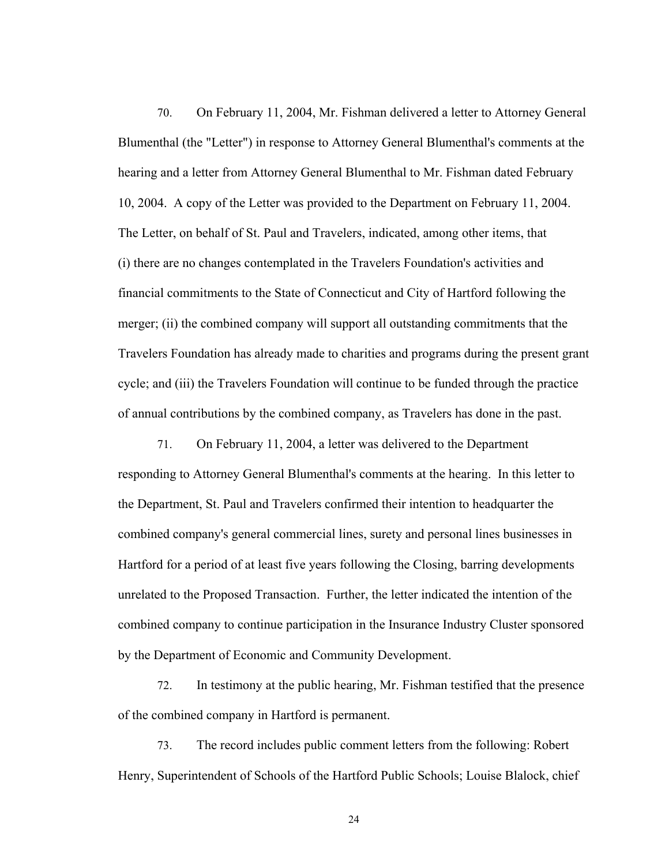70. On February 11, 2004, Mr. Fishman delivered a letter to Attorney General Blumenthal (the "Letter") in response to Attorney General Blumenthal's comments at the hearing and a letter from Attorney General Blumenthal to Mr. Fishman dated February 10, 2004. A copy of the Letter was provided to the Department on February 11, 2004. The Letter, on behalf of St. Paul and Travelers, indicated, among other items, that (i) there are no changes contemplated in the Travelers Foundation's activities and financial commitments to the State of Connecticut and City of Hartford following the merger; (ii) the combined company will support all outstanding commitments that the Travelers Foundation has already made to charities and programs during the present grant cycle; and (iii) the Travelers Foundation will continue to be funded through the practice of annual contributions by the combined company, as Travelers has done in the past.

71. On February 11, 2004, a letter was delivered to the Department responding to Attorney General Blumenthal's comments at the hearing. In this letter to the Department, St. Paul and Travelers confirmed their intention to headquarter the combined company's general commercial lines, surety and personal lines businesses in Hartford for a period of at least five years following the Closing, barring developments unrelated to the Proposed Transaction. Further, the letter indicated the intention of the combined company to continue participation in the Insurance Industry Cluster sponsored by the Department of Economic and Community Development.

72. In testimony at the public hearing, Mr. Fishman testified that the presence of the combined company in Hartford is permanent.

73. The record includes public comment letters from the following: Robert Henry, Superintendent of Schools of the Hartford Public Schools; Louise Blalock, chief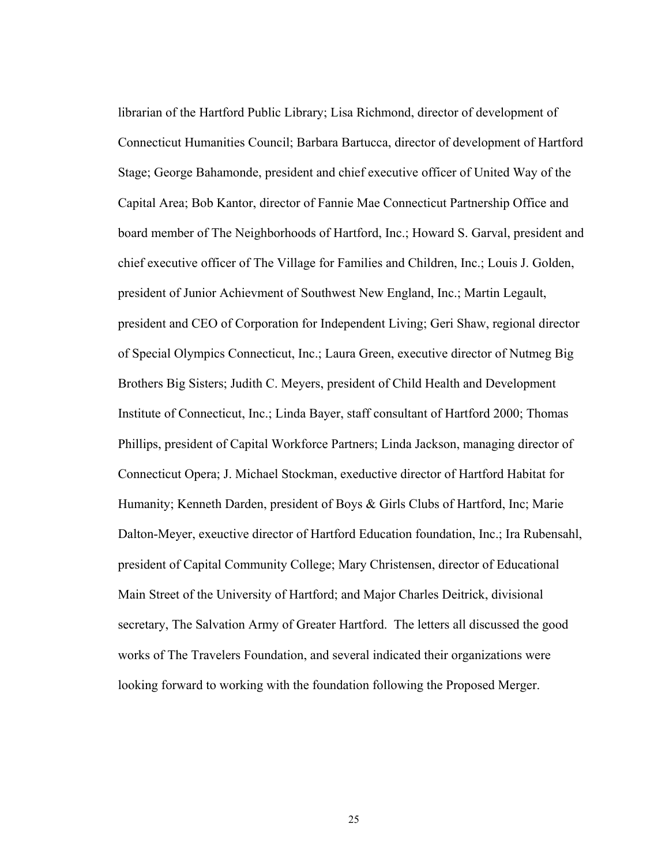librarian of the Hartford Public Library; Lisa Richmond, director of development of Connecticut Humanities Council; Barbara Bartucca, director of development of Hartford Stage; George Bahamonde, president and chief executive officer of United Way of the Capital Area; Bob Kantor, director of Fannie Mae Connecticut Partnership Office and board member of The Neighborhoods of Hartford, Inc.; Howard S. Garval, president and chief executive officer of The Village for Families and Children, Inc.; Louis J. Golden, president of Junior Achievment of Southwest New England, Inc.; Martin Legault, president and CEO of Corporation for Independent Living; Geri Shaw, regional director of Special Olympics Connecticut, Inc.; Laura Green, executive director of Nutmeg Big Brothers Big Sisters; Judith C. Meyers, president of Child Health and Development Institute of Connecticut, Inc.; Linda Bayer, staff consultant of Hartford 2000; Thomas Phillips, president of Capital Workforce Partners; Linda Jackson, managing director of Connecticut Opera; J. Michael Stockman, exeductive director of Hartford Habitat for Humanity; Kenneth Darden, president of Boys & Girls Clubs of Hartford, Inc; Marie Dalton-Meyer, exeuctive director of Hartford Education foundation, Inc.; Ira Rubensahl, president of Capital Community College; Mary Christensen, director of Educational Main Street of the University of Hartford; and Major Charles Deitrick, divisional secretary, The Salvation Army of Greater Hartford. The letters all discussed the good works of The Travelers Foundation, and several indicated their organizations were looking forward to working with the foundation following the Proposed Merger.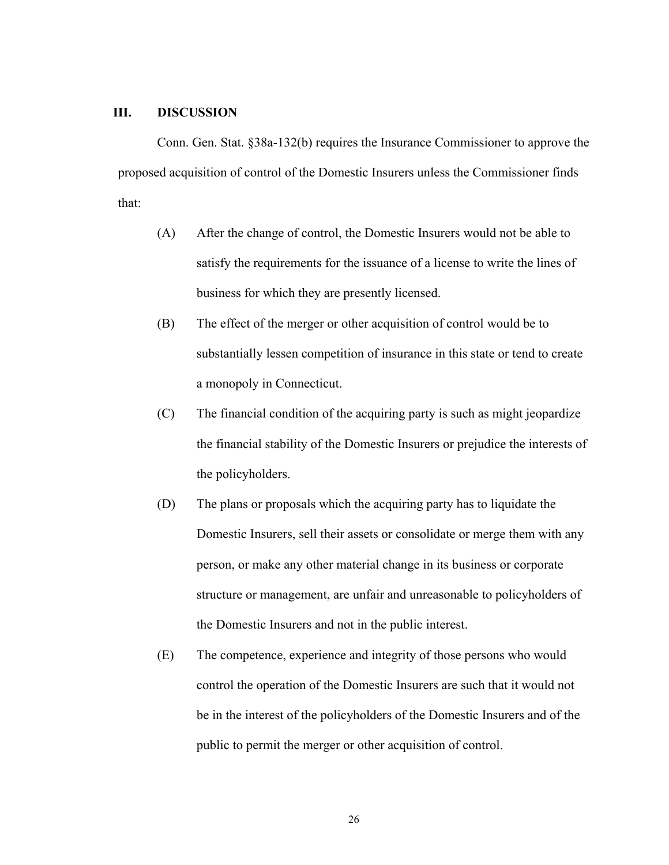### **III. DISCUSSION**

Conn. Gen. Stat. §38a-132(b) requires the Insurance Commissioner to approve the proposed acquisition of control of the Domestic Insurers unless the Commissioner finds that:

- (A) After the change of control, the Domestic Insurers would not be able to satisfy the requirements for the issuance of a license to write the lines of business for which they are presently licensed.
- (B) The effect of the merger or other acquisition of control would be to substantially lessen competition of insurance in this state or tend to create a monopoly in Connecticut.
- (C) The financial condition of the acquiring party is such as might jeopardize the financial stability of the Domestic Insurers or prejudice the interests of the policyholders.
- (D) The plans or proposals which the acquiring party has to liquidate the Domestic Insurers, sell their assets or consolidate or merge them with any person, or make any other material change in its business or corporate structure or management, are unfair and unreasonable to policyholders of the Domestic Insurers and not in the public interest.
- (E) The competence, experience and integrity of those persons who would control the operation of the Domestic Insurers are such that it would not be in the interest of the policyholders of the Domestic Insurers and of the public to permit the merger or other acquisition of control.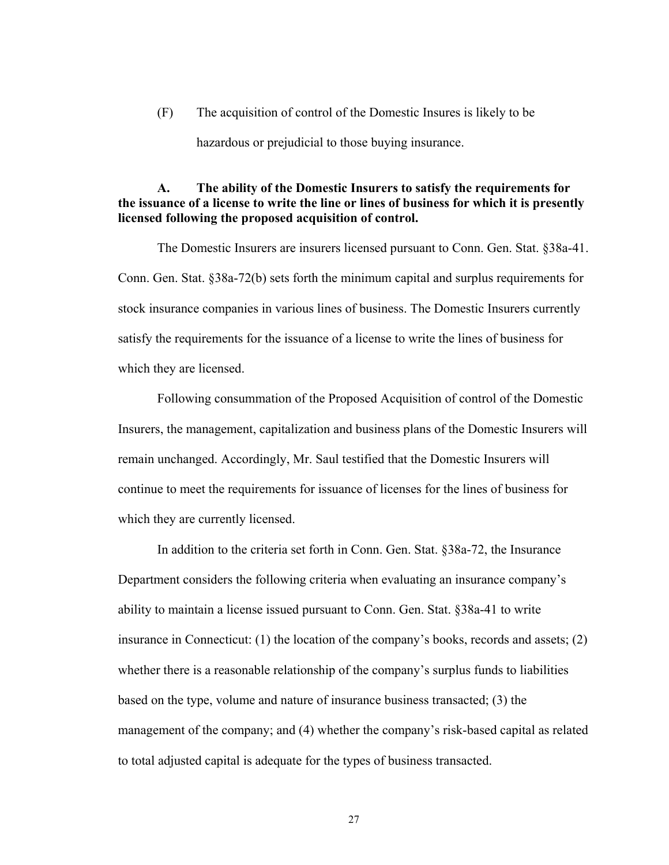(F) The acquisition of control of the Domestic Insures is likely to be hazardous or prejudicial to those buying insurance.

## **A. The ability of the Domestic Insurers to satisfy the requirements for the issuance of a license to write the line or lines of business for which it is presently licensed following the proposed acquisition of control.**

The Domestic Insurers are insurers licensed pursuant to Conn. Gen. Stat. §38a-41. Conn. Gen. Stat. §38a-72(b) sets forth the minimum capital and surplus requirements for stock insurance companies in various lines of business. The Domestic Insurers currently satisfy the requirements for the issuance of a license to write the lines of business for which they are licensed.

Following consummation of the Proposed Acquisition of control of the Domestic Insurers, the management, capitalization and business plans of the Domestic Insurers will remain unchanged. Accordingly, Mr. Saul testified that the Domestic Insurers will continue to meet the requirements for issuance of licenses for the lines of business for which they are currently licensed.

In addition to the criteria set forth in Conn. Gen. Stat. §38a-72, the Insurance Department considers the following criteria when evaluating an insurance company's ability to maintain a license issued pursuant to Conn. Gen. Stat. §38a-41 to write insurance in Connecticut: (1) the location of the company's books, records and assets; (2) whether there is a reasonable relationship of the company's surplus funds to liabilities based on the type, volume and nature of insurance business transacted; (3) the management of the company; and (4) whether the company's risk-based capital as related to total adjusted capital is adequate for the types of business transacted.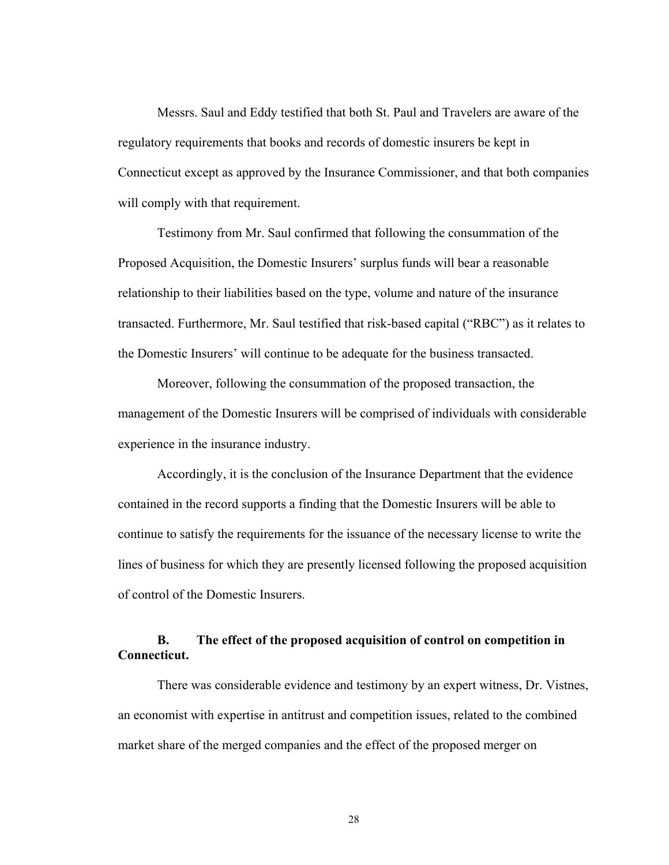Messrs. Saul and Eddy testified that both St. Paul and Travelers are aware of the regulatory requirements that books and records of domestic insurers be kept in Connecticut except as approved by the Insurance Commissioner, and that both companies will comply with that requirement.

Testimony from Mr. Saul confirmed that following the consummation of the Proposed Acquisition, the Domestic Insurers' surplus funds will bear a reasonable relationship to their liabilities based on the type, volume and nature of the insurance transacted. Furthermore, Mr. Saul testified that risk-based capital ("RBC") as it relates to the Domestic Insurers' will continue to be adequate for the business transacted.

Moreover, following the consummation of the proposed transaction, the management of the Domestic Insurers will be comprised of individuals with considerable experience in the insurance industry.

Accordingly, it is the conclusion of the Insurance Department that the evidence contained in the record supports a finding that the Domestic Insurers will be able to continue to satisfy the requirements for the issuance of the necessary license to write the lines of business for which they are presently licensed following the proposed acquisition of control of the Domestic Insurers.

## **B. The effect of the proposed acquisition of control on competition in Connecticut.**

There was considerable evidence and testimony by an expert witness, Dr. Vistnes, an economist with expertise in antitrust and competition issues, related to the combined market share of the merged companies and the effect of the proposed merger on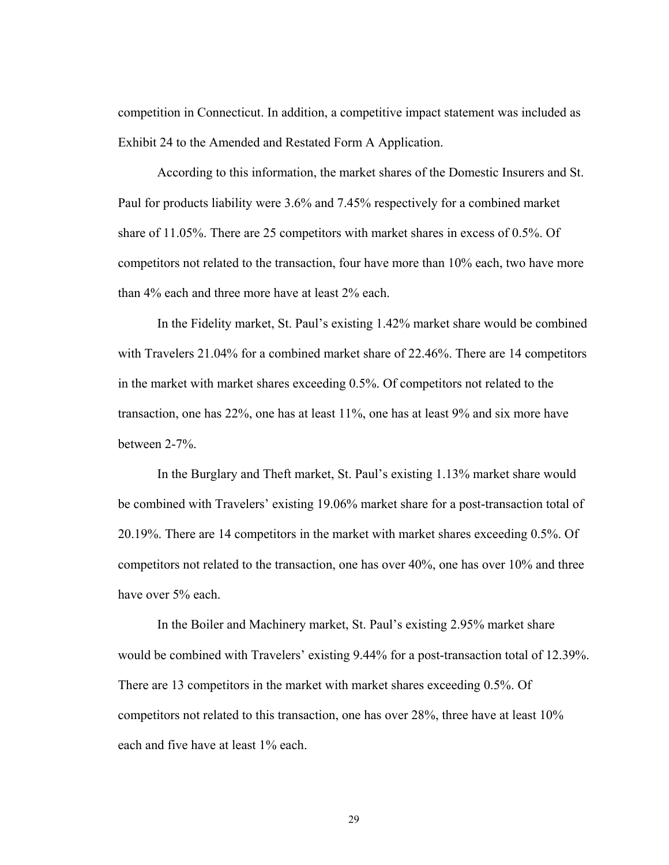competition in Connecticut. In addition, a competitive impact statement was included as Exhibit 24 to the Amended and Restated Form A Application.

According to this information, the market shares of the Domestic Insurers and St. Paul for products liability were 3.6% and 7.45% respectively for a combined market share of 11.05%. There are 25 competitors with market shares in excess of 0.5%. Of competitors not related to the transaction, four have more than 10% each, two have more than 4% each and three more have at least 2% each.

In the Fidelity market, St. Paul's existing 1.42% market share would be combined with Travelers 21.04% for a combined market share of 22.46%. There are 14 competitors in the market with market shares exceeding 0.5%. Of competitors not related to the transaction, one has 22%, one has at least 11%, one has at least 9% and six more have between 2-7%.

In the Burglary and Theft market, St. Paul's existing 1.13% market share would be combined with Travelers' existing 19.06% market share for a post-transaction total of 20.19%. There are 14 competitors in the market with market shares exceeding 0.5%. Of competitors not related to the transaction, one has over 40%, one has over 10% and three have over 5% each.

In the Boiler and Machinery market, St. Paul's existing 2.95% market share would be combined with Travelers' existing 9.44% for a post-transaction total of 12.39%. There are 13 competitors in the market with market shares exceeding 0.5%. Of competitors not related to this transaction, one has over 28%, three have at least 10% each and five have at least 1% each.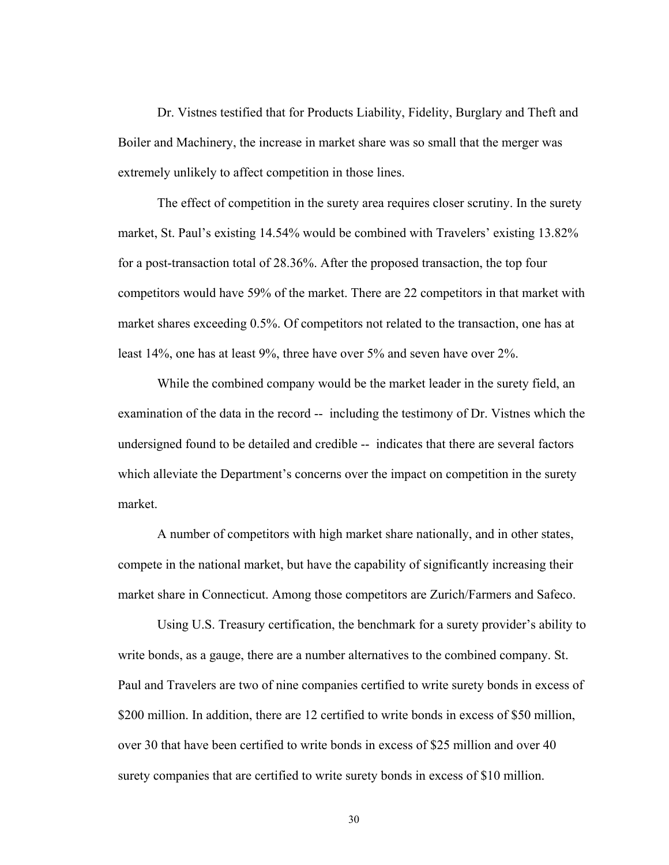Dr. Vistnes testified that for Products Liability, Fidelity, Burglary and Theft and Boiler and Machinery, the increase in market share was so small that the merger was extremely unlikely to affect competition in those lines.

The effect of competition in the surety area requires closer scrutiny. In the surety market, St. Paul's existing 14.54% would be combined with Travelers' existing 13.82% for a post-transaction total of 28.36%. After the proposed transaction, the top four competitors would have 59% of the market. There are 22 competitors in that market with market shares exceeding 0.5%. Of competitors not related to the transaction, one has at least 14%, one has at least 9%, three have over 5% and seven have over 2%.

While the combined company would be the market leader in the surety field, an examination of the data in the record -- including the testimony of Dr. Vistnes which the undersigned found to be detailed and credible -- indicates that there are several factors which alleviate the Department's concerns over the impact on competition in the surety market.

A number of competitors with high market share nationally, and in other states, compete in the national market, but have the capability of significantly increasing their market share in Connecticut. Among those competitors are Zurich/Farmers and Safeco.

Using U.S. Treasury certification, the benchmark for a surety provider's ability to write bonds, as a gauge, there are a number alternatives to the combined company. St. Paul and Travelers are two of nine companies certified to write surety bonds in excess of \$200 million. In addition, there are 12 certified to write bonds in excess of \$50 million, over 30 that have been certified to write bonds in excess of \$25 million and over 40 surety companies that are certified to write surety bonds in excess of \$10 million.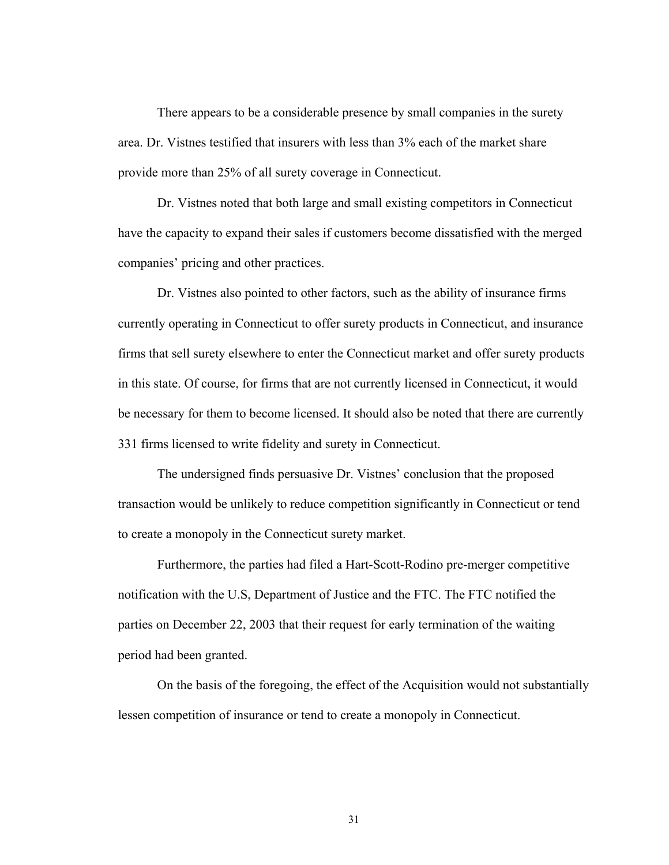There appears to be a considerable presence by small companies in the surety area. Dr. Vistnes testified that insurers with less than 3% each of the market share provide more than 25% of all surety coverage in Connecticut.

Dr. Vistnes noted that both large and small existing competitors in Connecticut have the capacity to expand their sales if customers become dissatisfied with the merged companies' pricing and other practices.

Dr. Vistnes also pointed to other factors, such as the ability of insurance firms currently operating in Connecticut to offer surety products in Connecticut, and insurance firms that sell surety elsewhere to enter the Connecticut market and offer surety products in this state. Of course, for firms that are not currently licensed in Connecticut, it would be necessary for them to become licensed. It should also be noted that there are currently 331 firms licensed to write fidelity and surety in Connecticut.

The undersigned finds persuasive Dr. Vistnes' conclusion that the proposed transaction would be unlikely to reduce competition significantly in Connecticut or tend to create a monopoly in the Connecticut surety market.

Furthermore, the parties had filed a Hart-Scott-Rodino pre-merger competitive notification with the U.S, Department of Justice and the FTC. The FTC notified the parties on December 22, 2003 that their request for early termination of the waiting period had been granted.

On the basis of the foregoing, the effect of the Acquisition would not substantially lessen competition of insurance or tend to create a monopoly in Connecticut.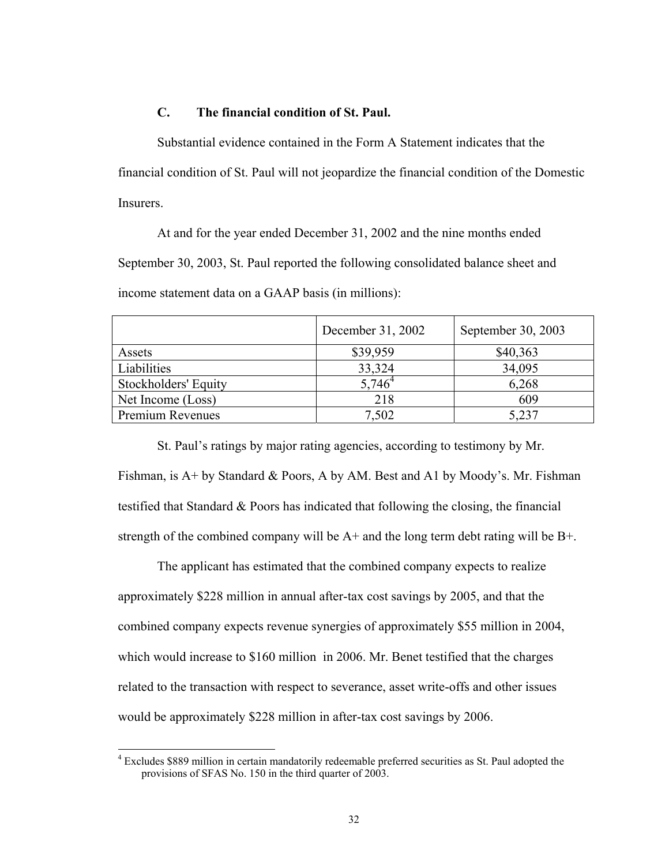## **C. The financial condition of St. Paul.**

Substantial evidence contained in the Form A Statement indicates that the financial condition of St. Paul will not jeopardize the financial condition of the Domestic Insurers.

At and for the year ended December 31, 2002 and the nine months ended September 30, 2003, St. Paul reported the following consolidated balance sheet and income statement data on a GAAP basis (in millions):

|                             | December 31, 2002 | September 30, 2003 |
|-----------------------------|-------------------|--------------------|
| Assets                      | \$39,959          | \$40,363           |
| Liabilities                 | 33,324            | 34,095             |
| <b>Stockholders' Equity</b> | $5,746^4$         | 6,268              |
| Net Income (Loss)           | 218               | 609                |
| Premium Revenues            | 7,502             | 5,237              |

St. Paul's ratings by major rating agencies, according to testimony by Mr. Fishman, is A+ by Standard & Poors, A by AM. Best and A1 by Moody's. Mr. Fishman testified that Standard & Poors has indicated that following the closing, the financial strength of the combined company will be  $A<sup>+</sup>$  and the long term debt rating will be  $B<sup>+</sup>$ .

The applicant has estimated that the combined company expects to realize approximately \$228 million in annual after-tax cost savings by 2005, and that the combined company expects revenue synergies of approximately \$55 million in 2004, which would increase to \$160 million in 2006. Mr. Benet testified that the charges related to the transaction with respect to severance, asset write-offs and other issues would be approximately \$228 million in after-tax cost savings by 2006.

 $\overline{\phantom{a}}$ 

<sup>&</sup>lt;sup>4</sup> Excludes \$889 million in certain mandatorily redeemable preferred securities as St. Paul adopted the provisions of SFAS No. 150 in the third quarter of 2003.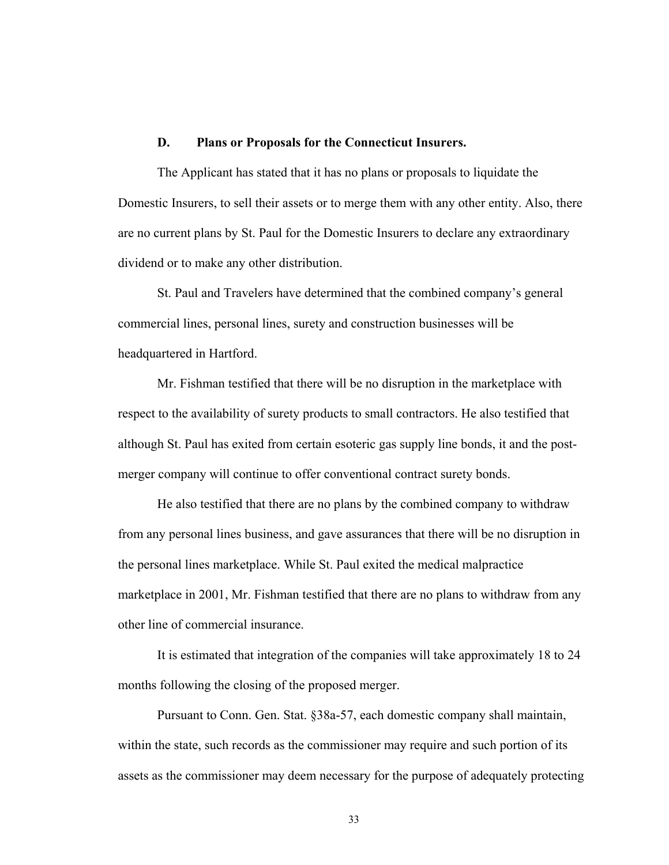#### **D. Plans or Proposals for the Connecticut Insurers.**

The Applicant has stated that it has no plans or proposals to liquidate the Domestic Insurers, to sell their assets or to merge them with any other entity. Also, there are no current plans by St. Paul for the Domestic Insurers to declare any extraordinary dividend or to make any other distribution.

St. Paul and Travelers have determined that the combined company's general commercial lines, personal lines, surety and construction businesses will be headquartered in Hartford.

Mr. Fishman testified that there will be no disruption in the marketplace with respect to the availability of surety products to small contractors. He also testified that although St. Paul has exited from certain esoteric gas supply line bonds, it and the postmerger company will continue to offer conventional contract surety bonds.

He also testified that there are no plans by the combined company to withdraw from any personal lines business, and gave assurances that there will be no disruption in the personal lines marketplace. While St. Paul exited the medical malpractice marketplace in 2001, Mr. Fishman testified that there are no plans to withdraw from any other line of commercial insurance.

It is estimated that integration of the companies will take approximately 18 to 24 months following the closing of the proposed merger.

Pursuant to Conn. Gen. Stat. §38a-57, each domestic company shall maintain, within the state, such records as the commissioner may require and such portion of its assets as the commissioner may deem necessary for the purpose of adequately protecting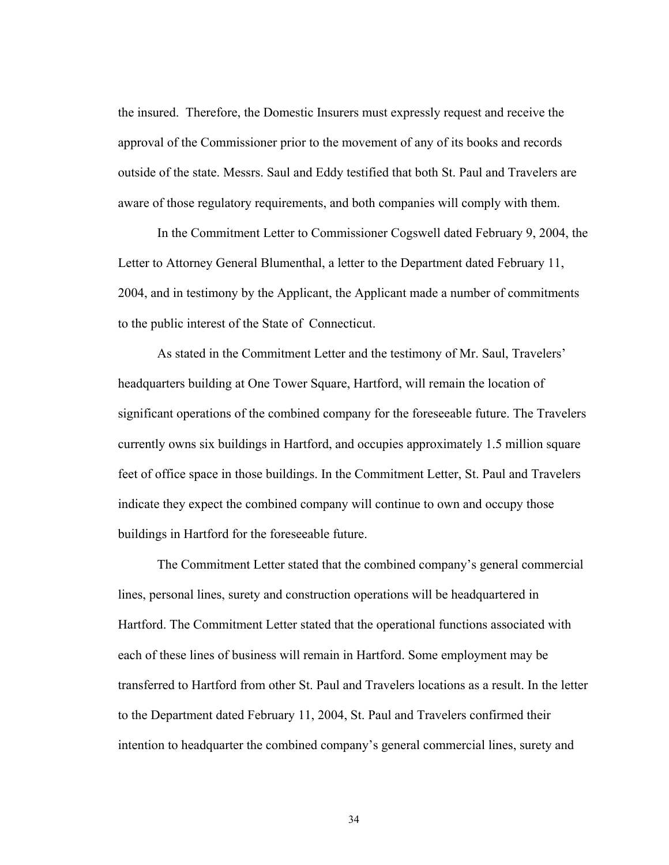the insured. Therefore, the Domestic Insurers must expressly request and receive the approval of the Commissioner prior to the movement of any of its books and records outside of the state. Messrs. Saul and Eddy testified that both St. Paul and Travelers are aware of those regulatory requirements, and both companies will comply with them.

In the Commitment Letter to Commissioner Cogswell dated February 9, 2004, the Letter to Attorney General Blumenthal, a letter to the Department dated February 11, 2004, and in testimony by the Applicant, the Applicant made a number of commitments to the public interest of the State of Connecticut.

As stated in the Commitment Letter and the testimony of Mr. Saul, Travelers' headquarters building at One Tower Square, Hartford, will remain the location of significant operations of the combined company for the foreseeable future. The Travelers currently owns six buildings in Hartford, and occupies approximately 1.5 million square feet of office space in those buildings. In the Commitment Letter, St. Paul and Travelers indicate they expect the combined company will continue to own and occupy those buildings in Hartford for the foreseeable future.

The Commitment Letter stated that the combined company's general commercial lines, personal lines, surety and construction operations will be headquartered in Hartford. The Commitment Letter stated that the operational functions associated with each of these lines of business will remain in Hartford. Some employment may be transferred to Hartford from other St. Paul and Travelers locations as a result. In the letter to the Department dated February 11, 2004, St. Paul and Travelers confirmed their intention to headquarter the combined company's general commercial lines, surety and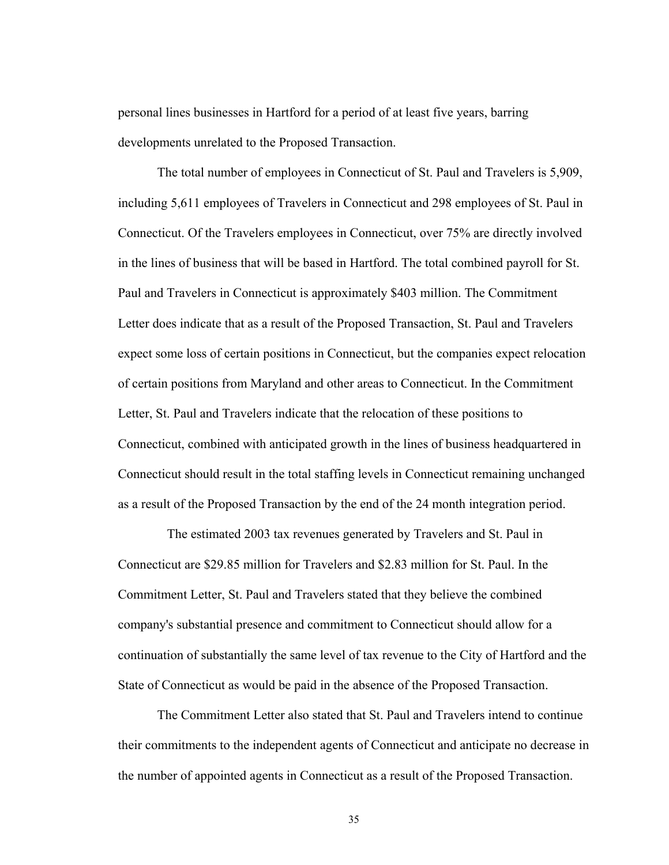personal lines businesses in Hartford for a period of at least five years, barring developments unrelated to the Proposed Transaction.

The total number of employees in Connecticut of St. Paul and Travelers is 5,909, including 5,611 employees of Travelers in Connecticut and 298 employees of St. Paul in Connecticut. Of the Travelers employees in Connecticut, over 75% are directly involved in the lines of business that will be based in Hartford. The total combined payroll for St. Paul and Travelers in Connecticut is approximately \$403 million. The Commitment Letter does indicate that as a result of the Proposed Transaction, St. Paul and Travelers expect some loss of certain positions in Connecticut, but the companies expect relocation of certain positions from Maryland and other areas to Connecticut. In the Commitment Letter, St. Paul and Travelers indicate that the relocation of these positions to Connecticut, combined with anticipated growth in the lines of business headquartered in Connecticut should result in the total staffing levels in Connecticut remaining unchanged as a result of the Proposed Transaction by the end of the 24 month integration period.

 The estimated 2003 tax revenues generated by Travelers and St. Paul in Connecticut are \$29.85 million for Travelers and \$2.83 million for St. Paul. In the Commitment Letter, St. Paul and Travelers stated that they believe the combined company's substantial presence and commitment to Connecticut should allow for a continuation of substantially the same level of tax revenue to the City of Hartford and the State of Connecticut as would be paid in the absence of the Proposed Transaction.

The Commitment Letter also stated that St. Paul and Travelers intend to continue their commitments to the independent agents of Connecticut and anticipate no decrease in the number of appointed agents in Connecticut as a result of the Proposed Transaction.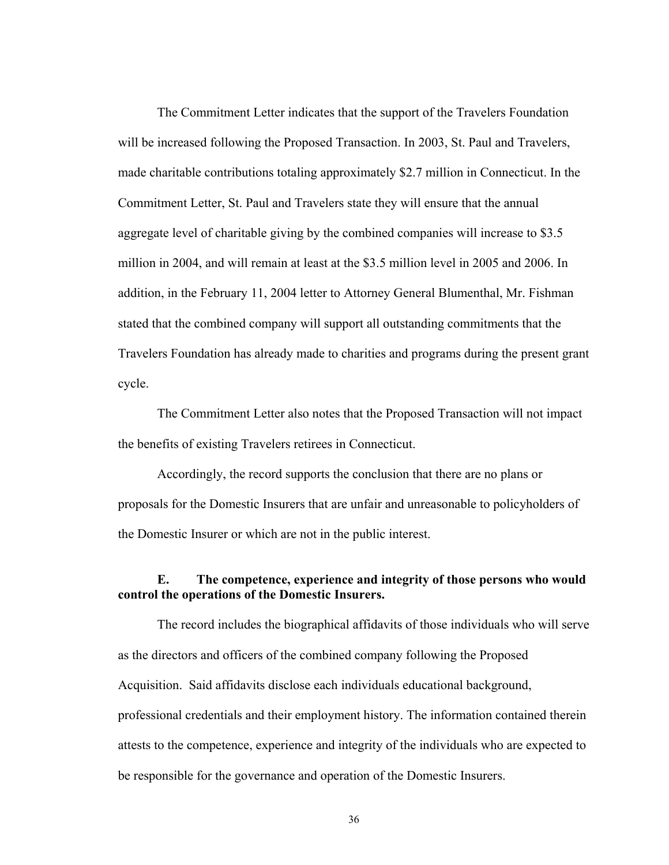The Commitment Letter indicates that the support of the Travelers Foundation will be increased following the Proposed Transaction. In 2003, St. Paul and Travelers, made charitable contributions totaling approximately \$2.7 million in Connecticut. In the Commitment Letter, St. Paul and Travelers state they will ensure that the annual aggregate level of charitable giving by the combined companies will increase to \$3.5 million in 2004, and will remain at least at the \$3.5 million level in 2005 and 2006. In addition, in the February 11, 2004 letter to Attorney General Blumenthal, Mr. Fishman stated that the combined company will support all outstanding commitments that the Travelers Foundation has already made to charities and programs during the present grant cycle.

The Commitment Letter also notes that the Proposed Transaction will not impact the benefits of existing Travelers retirees in Connecticut.

Accordingly, the record supports the conclusion that there are no plans or proposals for the Domestic Insurers that are unfair and unreasonable to policyholders of the Domestic Insurer or which are not in the public interest.

## **E. The competence, experience and integrity of those persons who would control the operations of the Domestic Insurers.**

The record includes the biographical affidavits of those individuals who will serve as the directors and officers of the combined company following the Proposed Acquisition. Said affidavits disclose each individuals educational background, professional credentials and their employment history. The information contained therein attests to the competence, experience and integrity of the individuals who are expected to be responsible for the governance and operation of the Domestic Insurers.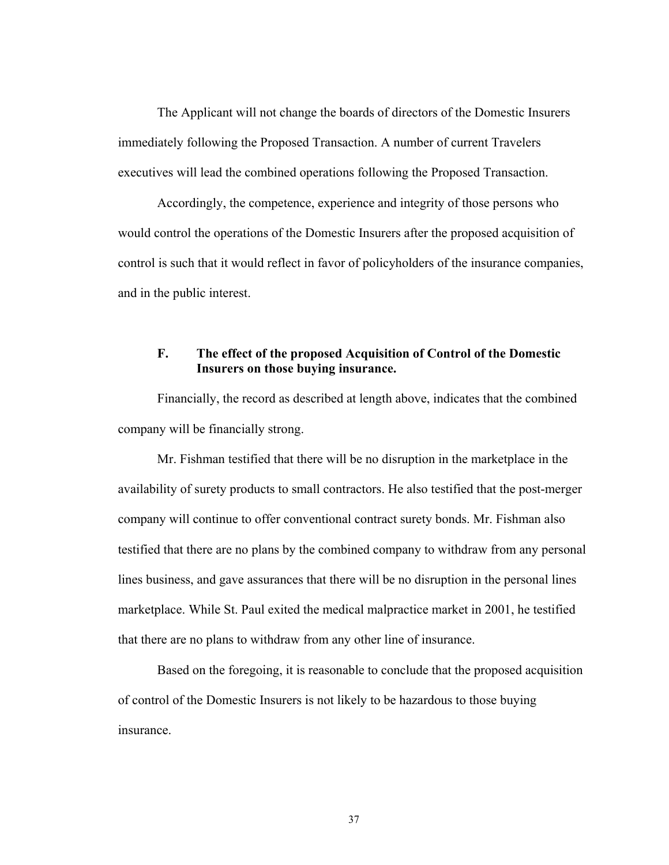The Applicant will not change the boards of directors of the Domestic Insurers immediately following the Proposed Transaction. A number of current Travelers executives will lead the combined operations following the Proposed Transaction.

Accordingly, the competence, experience and integrity of those persons who would control the operations of the Domestic Insurers after the proposed acquisition of control is such that it would reflect in favor of policyholders of the insurance companies, and in the public interest.

## **F. The effect of the proposed Acquisition of Control of the Domestic Insurers on those buying insurance.**

Financially, the record as described at length above, indicates that the combined company will be financially strong.

Mr. Fishman testified that there will be no disruption in the marketplace in the availability of surety products to small contractors. He also testified that the post-merger company will continue to offer conventional contract surety bonds. Mr. Fishman also testified that there are no plans by the combined company to withdraw from any personal lines business, and gave assurances that there will be no disruption in the personal lines marketplace. While St. Paul exited the medical malpractice market in 2001, he testified that there are no plans to withdraw from any other line of insurance.

Based on the foregoing, it is reasonable to conclude that the proposed acquisition of control of the Domestic Insurers is not likely to be hazardous to those buying insurance.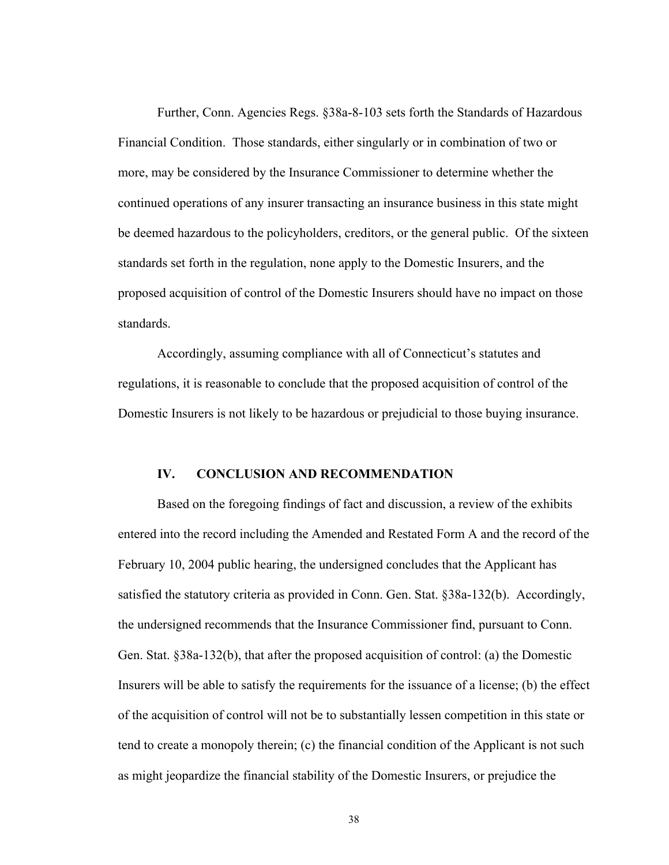Further, Conn. Agencies Regs. §38a-8-103 sets forth the Standards of Hazardous Financial Condition. Those standards, either singularly or in combination of two or more, may be considered by the Insurance Commissioner to determine whether the continued operations of any insurer transacting an insurance business in this state might be deemed hazardous to the policyholders, creditors, or the general public. Of the sixteen standards set forth in the regulation, none apply to the Domestic Insurers, and the proposed acquisition of control of the Domestic Insurers should have no impact on those standards.

Accordingly, assuming compliance with all of Connecticut's statutes and regulations, it is reasonable to conclude that the proposed acquisition of control of the Domestic Insurers is not likely to be hazardous or prejudicial to those buying insurance.

#### **IV. CONCLUSION AND RECOMMENDATION**

Based on the foregoing findings of fact and discussion, a review of the exhibits entered into the record including the Amended and Restated Form A and the record of the February 10, 2004 public hearing, the undersigned concludes that the Applicant has satisfied the statutory criteria as provided in Conn. Gen. Stat. §38a-132(b). Accordingly, the undersigned recommends that the Insurance Commissioner find, pursuant to Conn. Gen. Stat. §38a-132(b), that after the proposed acquisition of control: (a) the Domestic Insurers will be able to satisfy the requirements for the issuance of a license; (b) the effect of the acquisition of control will not be to substantially lessen competition in this state or tend to create a monopoly therein; (c) the financial condition of the Applicant is not such as might jeopardize the financial stability of the Domestic Insurers, or prejudice the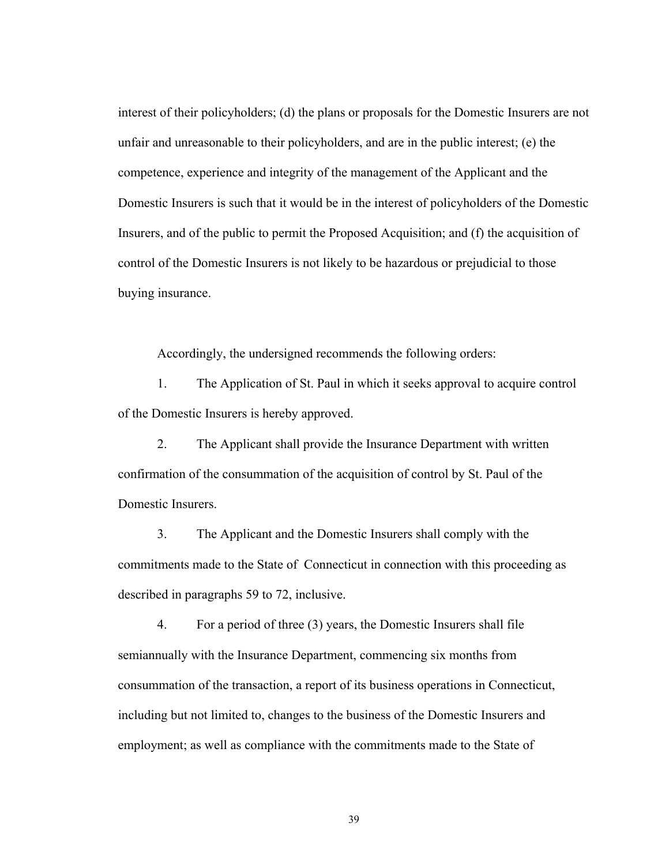interest of their policyholders; (d) the plans or proposals for the Domestic Insurers are not unfair and unreasonable to their policyholders, and are in the public interest; (e) the competence, experience and integrity of the management of the Applicant and the Domestic Insurers is such that it would be in the interest of policyholders of the Domestic Insurers, and of the public to permit the Proposed Acquisition; and (f) the acquisition of control of the Domestic Insurers is not likely to be hazardous or prejudicial to those buying insurance.

Accordingly, the undersigned recommends the following orders:

1. The Application of St. Paul in which it seeks approval to acquire control of the Domestic Insurers is hereby approved.

2. The Applicant shall provide the Insurance Department with written confirmation of the consummation of the acquisition of control by St. Paul of the Domestic Insurers.

3. The Applicant and the Domestic Insurers shall comply with the commitments made to the State of Connecticut in connection with this proceeding as described in paragraphs 59 to 72, inclusive.

4. For a period of three (3) years, the Domestic Insurers shall file semiannually with the Insurance Department, commencing six months from consummation of the transaction, a report of its business operations in Connecticut, including but not limited to, changes to the business of the Domestic Insurers and employment; as well as compliance with the commitments made to the State of